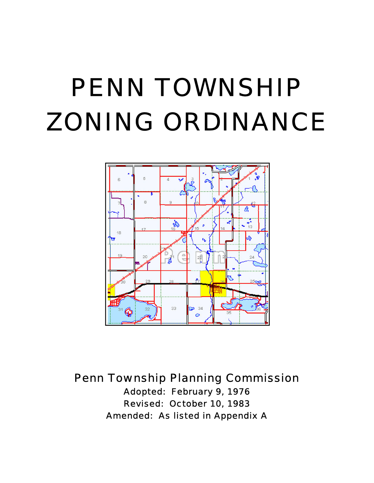# PENN TOWNSHIP ZONING ORDINANCE



Penn Township Planning Commission

Adopted: February 9, 1976 Revised: October 10, 1983 Amended: As listed in Appendix A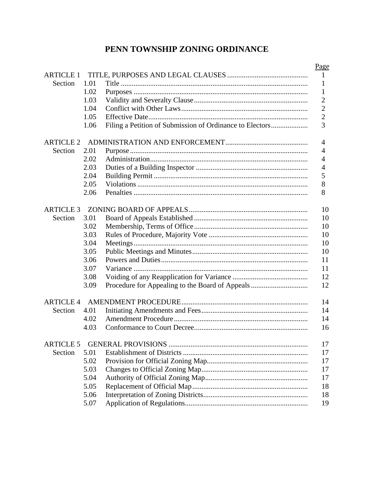# PENN TOWNSHIP ZONING ORDINANCE

|                  |      |                                                          | Page           |
|------------------|------|----------------------------------------------------------|----------------|
| <b>ARTICLE 1</b> |      |                                                          | 1              |
| Section          | 1.01 |                                                          | 1              |
|                  | 1.02 |                                                          | 1              |
|                  | 1.03 |                                                          | $\overline{c}$ |
|                  | 1.04 |                                                          | $\overline{c}$ |
|                  | 1.05 |                                                          | $\overline{c}$ |
|                  | 1.06 | Filing a Petition of Submission of Ordinance to Electors | $\overline{3}$ |
| <b>ARTICLE 2</b> |      |                                                          | 4              |
| Section          | 2.01 |                                                          | 4              |
|                  | 2.02 |                                                          | 4              |
|                  | 2.03 |                                                          | $\overline{4}$ |
|                  | 2.04 |                                                          | 5              |
|                  | 2.05 |                                                          | 8              |
|                  | 2.06 |                                                          | 8              |
| <b>ARTICLE 3</b> |      |                                                          | 10             |
| Section          | 3.01 |                                                          | 10             |
|                  | 3.02 |                                                          | 10             |
|                  | 3.03 |                                                          | 10             |
|                  | 3.04 |                                                          | 10             |
|                  | 3.05 |                                                          | 10             |
|                  | 3.06 |                                                          | 11             |
|                  | 3.07 |                                                          | 11             |
|                  | 3.08 |                                                          | 12             |
|                  | 3.09 |                                                          | 12             |
| <b>ARTICLE 4</b> |      |                                                          | 14             |
| Section          | 4.01 |                                                          | 14             |
|                  | 4.02 |                                                          | 14             |
|                  | 4.03 |                                                          | 16             |
| <b>ARTICLE 5</b> |      |                                                          | 17             |
| Section          | 5.01 |                                                          | 17             |
|                  | 5.02 |                                                          | 17             |
|                  | 5.03 |                                                          | 17             |
|                  | 5.04 |                                                          | 17             |
|                  | 5.05 |                                                          | 18             |
|                  | 5.06 |                                                          | 18             |
|                  | 5.07 |                                                          | 19             |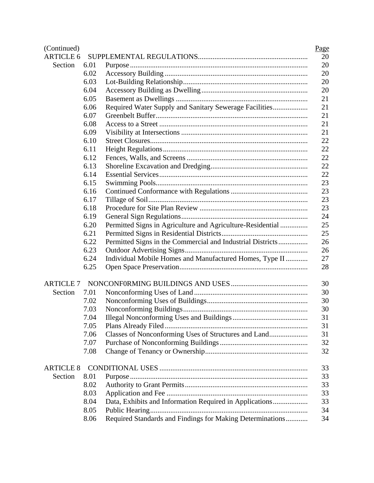| (Continued)      |      |                                                            | Page |
|------------------|------|------------------------------------------------------------|------|
| <b>ARTICLE 6</b> |      |                                                            | 20   |
| Section          | 6.01 |                                                            | 20   |
|                  | 6.02 |                                                            | 20   |
|                  | 6.03 |                                                            | 20   |
|                  | 6.04 |                                                            | 20   |
|                  | 6.05 |                                                            | 21   |
|                  | 6.06 | Required Water Supply and Sanitary Sewerage Facilities     | 21   |
|                  | 6.07 |                                                            | 21   |
|                  | 6.08 |                                                            | 21   |
|                  | 6.09 |                                                            | 21   |
|                  | 6.10 |                                                            | 22   |
|                  | 6.11 |                                                            | 22   |
|                  | 6.12 |                                                            | 22   |
|                  | 6.13 |                                                            | 22   |
|                  | 6.14 |                                                            | 22   |
|                  | 6.15 |                                                            | 23   |
|                  | 6.16 |                                                            | 23   |
|                  | 6.17 |                                                            | 23   |
|                  | 6.18 |                                                            | 23   |
|                  | 6.19 |                                                            | 24   |
|                  | 6.20 | Permitted Signs in Agriculture and Agriculture-Residential | 25   |
|                  | 6.21 |                                                            | 25   |
|                  | 6.22 | Permitted Signs in the Commercial and Industrial Districts | 26   |
|                  | 6.23 |                                                            | 26   |
|                  | 6.24 | Individual Mobile Homes and Manufactured Homes, Type II    | 27   |
|                  | 6.25 |                                                            | 28   |
| <b>ARTICLE 7</b> |      |                                                            | 30   |
| Section          | 7.01 |                                                            | 30   |
|                  | 7.02 |                                                            | 30   |
|                  | 7.03 |                                                            | 30   |
|                  | 7.04 |                                                            | 31   |
|                  | 7.05 |                                                            | 31   |
|                  | 7.06 |                                                            | 31   |
|                  | 7.07 |                                                            | 32   |
|                  | 7.08 |                                                            | 32   |
| <b>ARTICLE 8</b> |      |                                                            | 33   |
| Section          | 8.01 |                                                            | 33   |
|                  | 8.02 |                                                            | 33   |
|                  | 8.03 |                                                            | 33   |
|                  | 8.04 | Data, Exhibits and Information Required in Applications    | 33   |
|                  | 8.05 |                                                            | 34   |
|                  | 8.06 | Required Standards and Findings for Making Determinations  | 34   |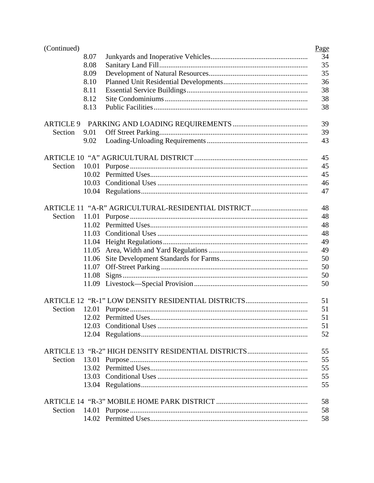| (Continued)      |       |                                                    | Page |
|------------------|-------|----------------------------------------------------|------|
|                  | 8.07  |                                                    | 34   |
|                  | 8.08  |                                                    | 35   |
|                  | 8.09  |                                                    | 35   |
|                  | 8.10  |                                                    | 36   |
|                  | 8.11  |                                                    | 38   |
|                  | 8.12  |                                                    | 38   |
|                  | 8.13  |                                                    | 38   |
| <b>ARTICLE 9</b> |       |                                                    | 39   |
| Section          | 9.01  |                                                    | 39   |
|                  | 9.02  |                                                    | 43   |
|                  |       |                                                    | 45   |
| Section          | 10.01 |                                                    | 45   |
|                  | 10.02 |                                                    | 45   |
|                  | 10.03 |                                                    | 46   |
|                  |       |                                                    | 47   |
|                  |       | ARTICLE 11 "A-R" AGRICULTURAL-RESIDENTIAL DISTRICT | 48   |
| Section          | 11.01 |                                                    | 48   |
|                  | 11.02 |                                                    | 48   |
|                  | 11.03 |                                                    | 48   |
|                  | 11.04 |                                                    | 49   |
|                  | 11.05 |                                                    | 49   |
|                  | 11.06 |                                                    | 50   |
|                  | 11.07 |                                                    | 50   |
|                  | 11.08 |                                                    | 50   |
|                  | 11.09 |                                                    | 50   |
|                  |       |                                                    | 51   |
| Section          |       |                                                    | 51   |
|                  |       |                                                    | 51   |
|                  | 12.03 |                                                    | 51   |
|                  |       |                                                    | 52   |
|                  |       |                                                    | 55   |
| Section          |       |                                                    | 55   |
|                  |       |                                                    | 55   |
|                  |       |                                                    | 55   |
|                  |       |                                                    | 55   |
|                  |       |                                                    | 58   |
| Section          |       |                                                    | 58   |
|                  |       |                                                    | 58   |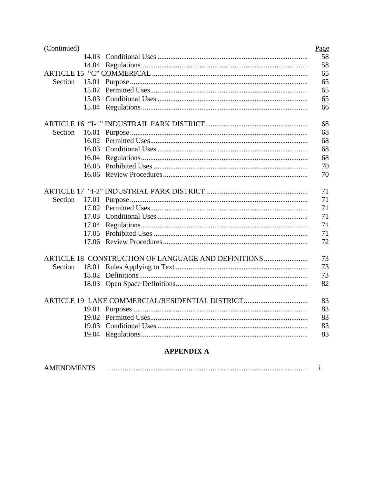| (Continued) |       |                                                     | Page |
|-------------|-------|-----------------------------------------------------|------|
|             | 14.03 |                                                     | 58   |
|             | 14.04 |                                                     | 58   |
|             |       |                                                     | 65   |
| Section     | 15.01 |                                                     | 65   |
|             | 15.02 |                                                     | 65   |
|             | 15.03 |                                                     | 65   |
|             |       |                                                     | 66   |
|             |       |                                                     | 68   |
| Section     | 16.01 |                                                     | 68   |
|             | 16.02 |                                                     | 68   |
|             | 16.03 |                                                     | 68   |
|             | 16.04 |                                                     | 68   |
|             | 16.05 |                                                     | 70   |
|             |       |                                                     | 70   |
|             |       |                                                     | 71   |
| Section     | 17.01 |                                                     | 71   |
|             | 17.02 |                                                     | 71   |
|             | 17.03 |                                                     | 71   |
|             | 17.04 |                                                     | 71   |
|             | 17.05 |                                                     | 71   |
|             | 17.06 |                                                     | 72   |
|             |       | ARTICLE 18 CONSTRUCTION OF LANGUAGE AND DEFINITIONS | 73   |
| Section     |       |                                                     | 73   |
|             | 18.02 |                                                     | 73   |
|             |       |                                                     | 82   |
|             |       | ARTICLE 19 LAKE COMMERCIAL/RESIDENTIAL DISTRICT     | 83   |
|             |       |                                                     | 83   |
|             | 19.02 |                                                     | 83   |
|             | 19.03 |                                                     | 83   |
|             |       |                                                     | 83   |
|             |       | $\mathbf{M}$                                        |      |

#### **APPENDIX A**

| <b>AMENDMENTS</b> |  |  |  |
|-------------------|--|--|--|
|-------------------|--|--|--|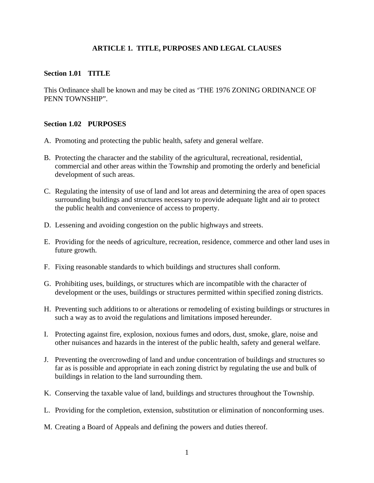# **ARTICLE 1. TITLE, PURPOSES AND LEGAL CLAUSES**

#### **Section 1.01 TITLE**

This Ordinance shall be known and may be cited as 'THE 1976 ZONING ORDINANCE OF PENN TOWNSHIP".

#### **Section 1.02 PURPOSES**

- A. Promoting and protecting the public health, safety and general welfare.
- B. Protecting the character and the stability of the agricultural, recreational, residential, commercial and other areas within the Township and promoting the orderly and beneficial development of such areas.
- C. Regulating the intensity of use of land and lot areas and determining the area of open spaces surrounding buildings and structures necessary to provide adequate light and air to protect the public health and convenience of access to property.
- D. Lessening and avoiding congestion on the public highways and streets.
- E. Providing for the needs of agriculture, recreation, residence, commerce and other land uses in future growth.
- F. Fixing reasonable standards to which buildings and structures shall conform.
- G. Prohibiting uses, buildings, or structures which are incompatible with the character of development or the uses, buildings or structures permitted within specified zoning districts.
- H. Preventing such additions to or alterations or remodeling of existing buildings or structures in such a way as to avoid the regulations and limitations imposed hereunder.
- I. Protecting against fire, explosion, noxious fumes and odors, dust, smoke, glare, noise and other nuisances and hazards in the interest of the public health, safety and general welfare.
- J. Preventing the overcrowding of land and undue concentration of buildings and structures so far as is possible and appropriate in each zoning district by regulating the use and bulk of buildings in relation to the land surrounding them.
- K. Conserving the taxable value of land, buildings and structures throughout the Township.
- L. Providing for the completion, extension, substitution or elimination of nonconforming uses.
- M. Creating a Board of Appeals and defining the powers and duties thereof.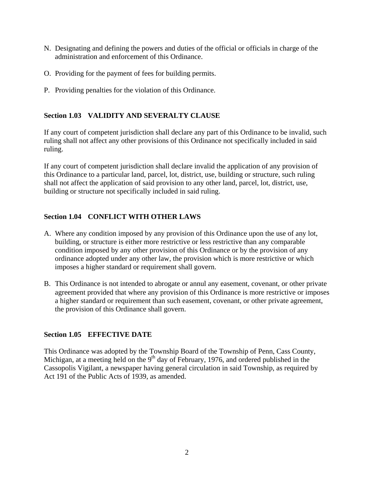- N. Designating and defining the powers and duties of the official or officials in charge of the administration and enforcement of this Ordinance.
- O. Providing for the payment of fees for building permits.
- P. Providing penalties for the violation of this Ordinance.

# **Section 1.03 VALIDITY AND SEVERALTY CLAUSE**

If any court of competent jurisdiction shall declare any part of this Ordinance to be invalid, such ruling shall not affect any other provisions of this Ordinance not specifically included in said ruling.

If any court of competent jurisdiction shall declare invalid the application of any provision of this Ordinance to a particular land, parcel, lot, district, use, building or structure, such ruling shall not affect the application of said provision to any other land, parcel, lot, district, use, building or structure not specifically included in said ruling.

# **Section 1.04 CONFLICT WITH OTHER LAWS**

- A. Where any condition imposed by any provision of this Ordinance upon the use of any lot, building, or structure is either more restrictive or less restrictive than any comparable condition imposed by any other provision of this Ordinance or by the provision of any ordinance adopted under any other law, the provision which is more restrictive or which imposes a higher standard or requirement shall govern.
- B. This Ordinance is not intended to abrogate or annul any easement, covenant, or other private agreement provided that where any provision of this Ordinance is more restrictive or imposes a higher standard or requirement than such easement, covenant, or other private agreement, the provision of this Ordinance shall govern.

# **Section 1.05 EFFECTIVE DATE**

This Ordinance was adopted by the Township Board of the Township of Penn, Cass County, Michigan, at a meeting held on the  $9<sup>th</sup>$  day of February, 1976, and ordered published in the Cassopolis Vigilant, a newspaper having general circulation in said Township, as required by Act 191 of the Public Acts of 1939, as amended.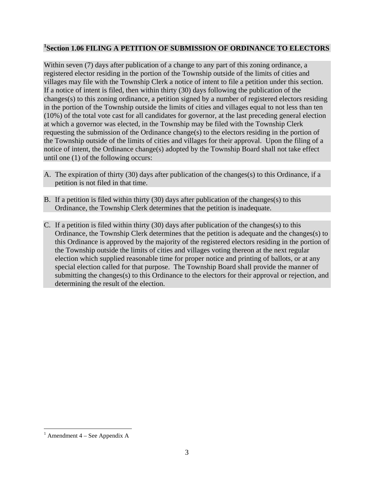# **1 Section 1.06 FILING A PETITION OF SUBMISSION OF ORDINANCE TO ELECTORS**

Within seven (7) days after publication of a change to any part of this zoning ordinance, a registered elector residing in the portion of the Township outside of the limits of cities and villages may file with the Township Clerk a notice of intent to file a petition under this section. If a notice of intent is filed, then within thirty (30) days following the publication of the changes(s) to this zoning ordinance, a petition signed by a number of registered electors residing in the portion of the Township outside the limits of cities and villages equal to not less than ten (10%) of the total vote cast for all candidates for governor, at the last preceding general election at which a governor was elected, in the Township may be filed with the Township Clerk requesting the submission of the Ordinance change(s) to the electors residing in the portion of the Township outside of the limits of cities and villages for their approval. Upon the filing of a notice of intent, the Ordinance change(s) adopted by the Township Board shall not take effect until one (1) of the following occurs:

- A. The expiration of thirty (30) days after publication of the changes(s) to this Ordinance, if a petition is not filed in that time.
- B. If a petition is filed within thirty (30) days after publication of the changes(s) to this Ordinance, the Township Clerk determines that the petition is inadequate.
- C. If a petition is filed within thirty (30) days after publication of the changes(s) to this Ordinance, the Township Clerk determines that the petition is adequate and the changes(s) to this Ordinance is approved by the majority of the registered electors residing in the portion of the Township outside the limits of cities and villages voting thereon at the next regular election which supplied reasonable time for proper notice and printing of ballots, or at any special election called for that purpose. The Township Board shall provide the manner of submitting the changes(s) to this Ordinance to the electors for their approval or rejection, and determining the result of the election.

 $\overline{a}$ 

<sup>&</sup>lt;sup>1</sup> Amendment  $4 -$  See Appendix A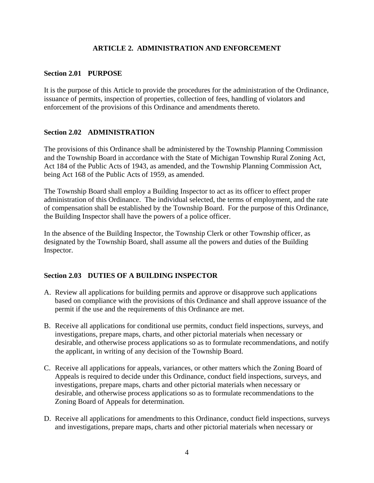## **ARTICLE 2. ADMINISTRATION AND ENFORCEMENT**

#### **Section 2.01 PURPOSE**

It is the purpose of this Article to provide the procedures for the administration of the Ordinance, issuance of permits, inspection of properties, collection of fees, handling of violators and enforcement of the provisions of this Ordinance and amendments thereto.

#### **Section 2.02 ADMINISTRATION**

The provisions of this Ordinance shall be administered by the Township Planning Commission and the Township Board in accordance with the State of Michigan Township Rural Zoning Act, Act 184 of the Public Acts of 1943, as amended, and the Township Planning Commission Act, being Act 168 of the Public Acts of 1959, as amended.

The Township Board shall employ a Building Inspector to act as its officer to effect proper administration of this Ordinance. The individual selected, the terms of employment, and the rate of compensation shall be established by the Township Board. For the purpose of this Ordinance, the Building Inspector shall have the powers of a police officer.

In the absence of the Building Inspector, the Township Clerk or other Township officer, as designated by the Township Board, shall assume all the powers and duties of the Building Inspector.

#### **Section 2.03 DUTIES OF A BUILDING INSPECTOR**

- A. Review all applications for building permits and approve or disapprove such applications based on compliance with the provisions of this Ordinance and shall approve issuance of the permit if the use and the requirements of this Ordinance are met.
- B. Receive all applications for conditional use permits, conduct field inspections, surveys, and investigations, prepare maps, charts, and other pictorial materials when necessary or desirable, and otherwise process applications so as to formulate recommendations, and notify the applicant, in writing of any decision of the Township Board.
- C. Receive all applications for appeals, variances, or other matters which the Zoning Board of Appeals is required to decide under this Ordinance, conduct field inspections, surveys, and investigations, prepare maps, charts and other pictorial materials when necessary or desirable, and otherwise process applications so as to formulate recommendations to the Zoning Board of Appeals for determination.
- D. Receive all applications for amendments to this Ordinance, conduct field inspections, surveys and investigations, prepare maps, charts and other pictorial materials when necessary or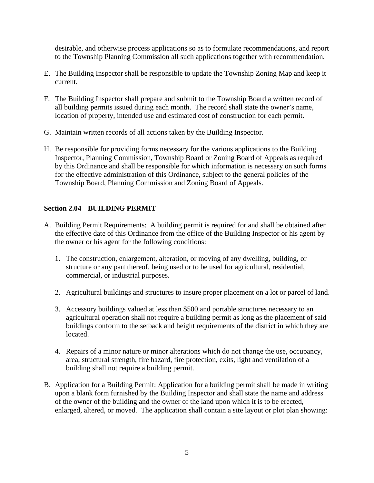desirable, and otherwise process applications so as to formulate recommendations, and report to the Township Planning Commission all such applications together with recommendation.

- E. The Building Inspector shall be responsible to update the Township Zoning Map and keep it current.
- F. The Building Inspector shall prepare and submit to the Township Board a written record of all building permits issued during each month. The record shall state the owner's name, location of property, intended use and estimated cost of construction for each permit.
- G. Maintain written records of all actions taken by the Building Inspector.
- H. Be responsible for providing forms necessary for the various applications to the Building Inspector, Planning Commission, Township Board or Zoning Board of Appeals as required by this Ordinance and shall be responsible for which information is necessary on such forms for the effective administration of this Ordinance, subject to the general policies of the Township Board, Planning Commission and Zoning Board of Appeals.

# **Section 2.04 BUILDING PERMIT**

- A. Building Permit Requirements: A building permit is required for and shall be obtained after the effective date of this Ordinance from the office of the Building Inspector or his agent by the owner or his agent for the following conditions:
	- 1. The construction, enlargement, alteration, or moving of any dwelling, building, or structure or any part thereof, being used or to be used for agricultural, residential, commercial, or industrial purposes.
	- 2. Agricultural buildings and structures to insure proper placement on a lot or parcel of land.
	- 3. Accessory buildings valued at less than \$500 and portable structures necessary to an agricultural operation shall not require a building permit as long as the placement of said buildings conform to the setback and height requirements of the district in which they are located.
	- 4. Repairs of a minor nature or minor alterations which do not change the use, occupancy, area, structural strength, fire hazard, fire protection, exits, light and ventilation of a building shall not require a building permit.
- B. Application for a Building Permit: Application for a building permit shall be made in writing upon a blank form furnished by the Building Inspector and shall state the name and address of the owner of the building and the owner of the land upon which it is to be erected, enlarged, altered, or moved. The application shall contain a site layout or plot plan showing: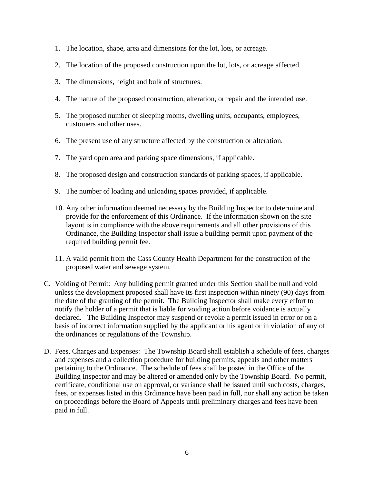- 1. The location, shape, area and dimensions for the lot, lots, or acreage.
- 2. The location of the proposed construction upon the lot, lots, or acreage affected.
- 3. The dimensions, height and bulk of structures.
- 4. The nature of the proposed construction, alteration, or repair and the intended use.
- 5. The proposed number of sleeping rooms, dwelling units, occupants, employees, customers and other uses.
- 6. The present use of any structure affected by the construction or alteration.
- 7. The yard open area and parking space dimensions, if applicable.
- 8. The proposed design and construction standards of parking spaces, if applicable.
- 9. The number of loading and unloading spaces provided, if applicable.
- 10. Any other information deemed necessary by the Building Inspector to determine and provide for the enforcement of this Ordinance. If the information shown on the site layout is in compliance with the above requirements and all other provisions of this Ordinance, the Building Inspector shall issue a building permit upon payment of the required building permit fee.
- 11. A valid permit from the Cass County Health Department for the construction of the proposed water and sewage system.
- C. Voiding of Permit: Any building permit granted under this Section shall be null and void unless the development proposed shall have its first inspection within ninety (90) days from the date of the granting of the permit. The Building Inspector shall make every effort to notify the holder of a permit that is liable for voiding action before voidance is actually declared. The Building Inspector may suspend or revoke a permit issued in error or on a basis of incorrect information supplied by the applicant or his agent or in violation of any of the ordinances or regulations of the Township.
- D. Fees, Charges and Expenses: The Township Board shall establish a schedule of fees, charges and expenses and a collection procedure for building permits, appeals and other matters pertaining to the Ordinance. The schedule of fees shall be posted in the Office of the Building Inspector and may be altered or amended only by the Township Board. No permit, certificate, conditional use on approval, or variance shall be issued until such costs, charges, fees, or expenses listed in this Ordinance have been paid in full, nor shall any action be taken on proceedings before the Board of Appeals until preliminary charges and fees have been paid in full.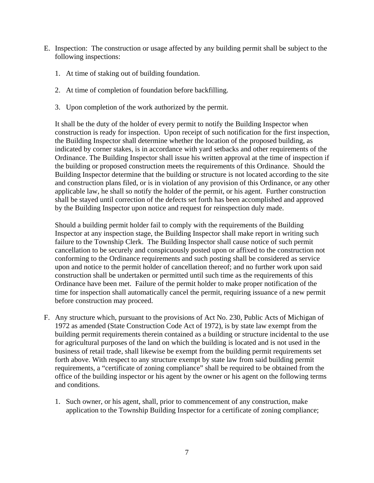- E. Inspection: The construction or usage affected by any building permit shall be subject to the following inspections:
	- 1. At time of staking out of building foundation.
	- 2. At time of completion of foundation before backfilling.
	- 3. Upon completion of the work authorized by the permit.

It shall be the duty of the holder of every permit to notify the Building Inspector when construction is ready for inspection. Upon receipt of such notification for the first inspection, the Building Inspector shall determine whether the location of the proposed building, as indicated by corner stakes, is in accordance with yard setbacks and other requirements of the Ordinance. The Building Inspector shall issue his written approval at the time of inspection if the building or proposed construction meets the requirements of this Ordinance. Should the Building Inspector determine that the building or structure is not located according to the site and construction plans filed, or is in violation of any provision of this Ordinance, or any other applicable law, he shall so notify the holder of the permit, or his agent. Further construction shall be stayed until correction of the defects set forth has been accomplished and approved by the Building Inspector upon notice and request for reinspection duly made.

Should a building permit holder fail to comply with the requirements of the Building Inspector at any inspection stage, the Building Inspector shall make report in writing such failure to the Township Clerk. The Building Inspector shall cause notice of such permit cancellation to be securely and conspicuously posted upon or affixed to the construction not conforming to the Ordinance requirements and such posting shall be considered as service upon and notice to the permit holder of cancellation thereof; and no further work upon said construction shall be undertaken or permitted until such time as the requirements of this Ordinance have been met. Failure of the permit holder to make proper notification of the time for inspection shall automatically cancel the permit, requiring issuance of a new permit before construction may proceed.

- F. Any structure which, pursuant to the provisions of Act No. 230, Public Acts of Michigan of 1972 as amended (State Construction Code Act of 1972), is by state law exempt from the building permit requirements therein contained as a building or structure incidental to the use for agricultural purposes of the land on which the building is located and is not used in the business of retail trade, shall likewise be exempt from the building permit requirements set forth above. With respect to any structure exempt by state law from said building permit requirements, a "certificate of zoning compliance" shall be required to be obtained from the office of the building inspector or his agent by the owner or his agent on the following terms and conditions.
	- 1. Such owner, or his agent, shall, prior to commencement of any construction, make application to the Township Building Inspector for a certificate of zoning compliance;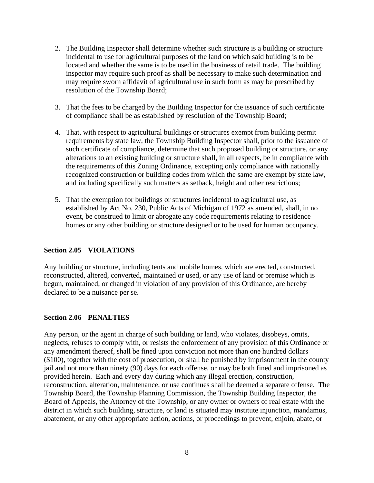- 2. The Building Inspector shall determine whether such structure is a building or structure incidental to use for agricultural purposes of the land on which said building is to be located and whether the same is to be used in the business of retail trade. The building inspector may require such proof as shall be necessary to make such determination and may require sworn affidavit of agricultural use in such form as may be prescribed by resolution of the Township Board;
- 3. That the fees to be charged by the Building Inspector for the issuance of such certificate of compliance shall be as established by resolution of the Township Board;
- 4. That, with respect to agricultural buildings or structures exempt from building permit requirements by state law, the Township Building Inspector shall, prior to the issuance of such certificate of compliance, determine that such proposed building or structure, or any alterations to an existing building or structure shall, in all respects, be in compliance with the requirements of this Zoning Ordinance, excepting only compliance with nationally recognized construction or building codes from which the same are exempt by state law, and including specifically such matters as setback, height and other restrictions;
- 5. That the exemption for buildings or structures incidental to agricultural use, as established by Act No. 230, Public Acts of Michigan of 1972 as amended, shall, in no event, be construed to limit or abrogate any code requirements relating to residence homes or any other building or structure designed or to be used for human occupancy.

# **Section 2.05 VIOLATIONS**

Any building or structure, including tents and mobile homes, which are erected, constructed, reconstructed, altered, converted, maintained or used, or any use of land or premise which is begun, maintained, or changed in violation of any provision of this Ordinance, are hereby declared to be a nuisance per se.

#### **Section 2.06 PENALTIES**

Any person, or the agent in charge of such building or land, who violates, disobeys, omits, neglects, refuses to comply with, or resists the enforcement of any provision of this Ordinance or any amendment thereof, shall be fined upon conviction not more than one hundred dollars (\$100), together with the cost of prosecution, or shall be punished by imprisonment in the county jail and not more than ninety (90) days for each offense, or may be both fined and imprisoned as provided herein. Each and every day during which any illegal erection, construction, reconstruction, alteration, maintenance, or use continues shall be deemed a separate offense. The Township Board, the Township Planning Commission, the Township Building Inspector, the Board of Appeals, the Attorney of the Township, or any owner or owners of real estate with the district in which such building, structure, or land is situated may institute injunction, mandamus, abatement, or any other appropriate action, actions, or proceedings to prevent, enjoin, abate, or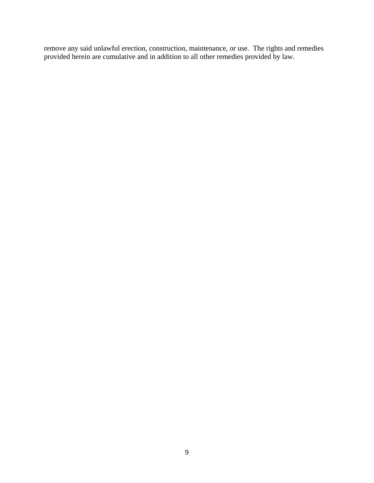remove any said unlawful erection, construction, maintenance, or use. The rights and remedies provided herein are cumulative and in addition to all other remedies provided by law.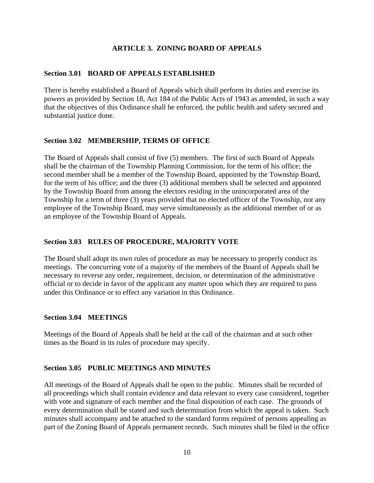## **ARTICLE 3. ZONING BOARD OF APPEALS**

#### **Section 3.01 BOARD OF APPEALS ESTABLISHED**

There is hereby established a Board of Appeals which shall perform its duties and exercise its powers as provided by Section 18, Act 184 of the Public Acts of 1943 as amended, in such a way that the objectives of this Ordinance shall be enforced, the public health and safety secured and substantial justice done.

#### **Section 3.02 MEMBERSHIP, TERMS OF OFFICE**

The Board of Appeals shall consist of five (5) members. The first of such Board of Appeals shall be the chairman of the Township Planning Commission, for the term of his office; the second member shall be a member of the Township Board, appointed by the Township Board, for the term of his office; and the three (3) additional members shall be selected and appointed by the Township Board from among the electors residing in the unincorporated area of the Township for a term of three (3) years provided that no elected officer of the Township, nor any employee of the Township Board, may serve simultaneously as the additional member of or as an employee of the Township Board of Appeals.

## **Section 3.03 RULES OF PROCEDURE, MAJORITY VOTE**

The Board shall adopt its own rules of procedure as may be necessary to properly conduct its meetings. The concurring vote of a majority of the members of the Board of Appeals shall be necessary to reverse any order, requirement, decision, or determination of the administrative official or to decide in favor of the applicant any matter upon which they are required to pass under this Ordinance or to effect any variation in this Ordinance.

#### **Section 3.04 MEETINGS**

Meetings of the Board of Appeals shall be held at the call of the chairman and at such other times as the Board in its rules of procedure may specify.

#### **Section 3.05 PUBLIC MEETINGS AND MINUTES**

All meetings of the Board of Appeals shall be open to the public. Minutes shall be recorded of all proceedings which shall contain evidence and data relevant to every case considered, together with vote and signature of each member and the final disposition of each case. The grounds of every determination shall be stated and such determination from which the appeal is taken. Such minutes shall accompany and be attached to the standard forms required of persons appealing as part of the Zoning Board of Appeals permanent records. Such minutes shall be filed in the office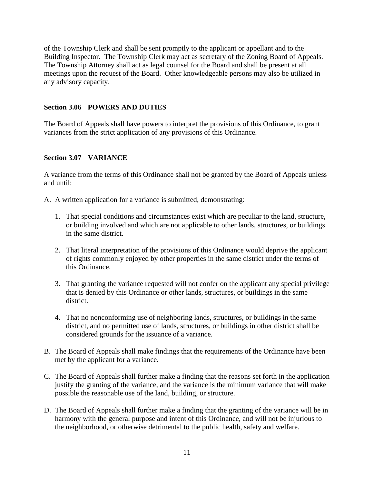of the Township Clerk and shall be sent promptly to the applicant or appellant and to the Building Inspector. The Township Clerk may act as secretary of the Zoning Board of Appeals. The Township Attorney shall act as legal counsel for the Board and shall be present at all meetings upon the request of the Board. Other knowledgeable persons may also be utilized in any advisory capacity.

## **Section 3.06 POWERS AND DUTIES**

The Board of Appeals shall have powers to interpret the provisions of this Ordinance, to grant variances from the strict application of any provisions of this Ordinance.

#### **Section 3.07 VARIANCE**

A variance from the terms of this Ordinance shall not be granted by the Board of Appeals unless and until:

- A. A written application for a variance is submitted, demonstrating:
	- 1. That special conditions and circumstances exist which are peculiar to the land, structure, or building involved and which are not applicable to other lands, structures, or buildings in the same district.
	- 2. That literal interpretation of the provisions of this Ordinance would deprive the applicant of rights commonly enjoyed by other properties in the same district under the terms of this Ordinance.
	- 3. That granting the variance requested will not confer on the applicant any special privilege that is denied by this Ordinance or other lands, structures, or buildings in the same district.
	- 4. That no nonconforming use of neighboring lands, structures, or buildings in the same district, and no permitted use of lands, structures, or buildings in other district shall be considered grounds for the issuance of a variance.
- B. The Board of Appeals shall make findings that the requirements of the Ordinance have been met by the applicant for a variance.
- C. The Board of Appeals shall further make a finding that the reasons set forth in the application justify the granting of the variance, and the variance is the minimum variance that will make possible the reasonable use of the land, building, or structure.
- D. The Board of Appeals shall further make a finding that the granting of the variance will be in harmony with the general purpose and intent of this Ordinance, and will not be injurious to the neighborhood, or otherwise detrimental to the public health, safety and welfare.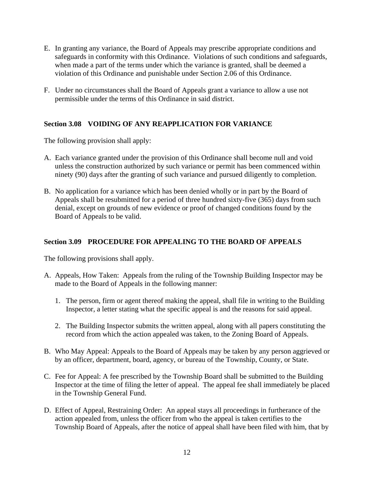- E. In granting any variance, the Board of Appeals may prescribe appropriate conditions and safeguards in conformity with this Ordinance. Violations of such conditions and safeguards, when made a part of the terms under which the variance is granted, shall be deemed a violation of this Ordinance and punishable under Section 2.06 of this Ordinance.
- F. Under no circumstances shall the Board of Appeals grant a variance to allow a use not permissible under the terms of this Ordinance in said district.

# **Section 3.08 VOIDING OF ANY REAPPLICATION FOR VARIANCE**

The following provision shall apply:

- A. Each variance granted under the provision of this Ordinance shall become null and void unless the construction authorized by such variance or permit has been commenced within ninety (90) days after the granting of such variance and pursued diligently to completion.
- B. No application for a variance which has been denied wholly or in part by the Board of Appeals shall be resubmitted for a period of three hundred sixty-five (365) days from such denial, except on grounds of new evidence or proof of changed conditions found by the Board of Appeals to be valid.

# **Section 3.09 PROCEDURE FOR APPEALING TO THE BOARD OF APPEALS**

The following provisions shall apply.

- A. Appeals, How Taken: Appeals from the ruling of the Township Building Inspector may be made to the Board of Appeals in the following manner:
	- 1. The person, firm or agent thereof making the appeal, shall file in writing to the Building Inspector, a letter stating what the specific appeal is and the reasons for said appeal.
	- 2. The Building Inspector submits the written appeal, along with all papers constituting the record from which the action appealed was taken, to the Zoning Board of Appeals.
- B. Who May Appeal: Appeals to the Board of Appeals may be taken by any person aggrieved or by an officer, department, board, agency, or bureau of the Township, County, or State.
- C. Fee for Appeal: A fee prescribed by the Township Board shall be submitted to the Building Inspector at the time of filing the letter of appeal. The appeal fee shall immediately be placed in the Township General Fund.
- D. Effect of Appeal, Restraining Order: An appeal stays all proceedings in furtherance of the action appealed from, unless the officer from who the appeal is taken certifies to the Township Board of Appeals, after the notice of appeal shall have been filed with him, that by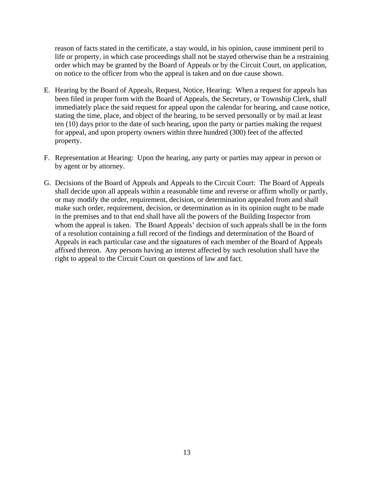reason of facts stated in the certificate, a stay would, in his opinion, cause imminent peril to life or property, in which case proceedings shall not be stayed otherwise than be a restraining order which may be granted by the Board of Appeals or by the Circuit Court, on application, on notice to the officer from who the appeal is taken and on due cause shown.

- E. Hearing by the Board of Appeals, Request, Notice, Hearing: When a request for appeals has been filed in proper form with the Board of Appeals, the Secretary, or Township Clerk, shall immediately place the said request for appeal upon the calendar for hearing, and cause notice, stating the time, place, and object of the hearing, to be served personally or by mail at least ten (10) days prior to the date of such hearing, upon the party or parties making the request for appeal, and upon property owners within three hundred (300) feet of the affected property.
- F. Representation at Hearing: Upon the hearing, any party or parties may appear in person or by agent or by attorney.
- G. Decisions of the Board of Appeals and Appeals to the Circuit Court: The Board of Appeals shall decide upon all appeals within a reasonable time and reverse or affirm wholly or partly, or may modify the order, requirement, decision, or determination appealed from and shall make such order, requirement, decision, or determination as in its opinion ought to be made in the premises and to that end shall have all the powers of the Building Inspector from whom the appeal is taken. The Board Appeals' decision of such appeals shall be in the form of a resolution containing a full record of the findings and determination of the Board of Appeals in each particular case and the signatures of each member of the Board of Appeals affixed thereon. Any persons having an interest affected by such resolution shall have the right to appeal to the Circuit Court on questions of law and fact.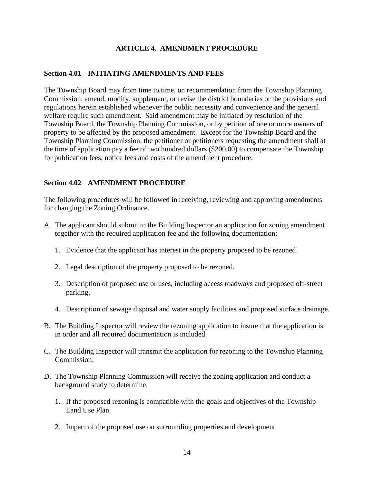## **ARTICLE 4. AMENDMENT PROCEDURE**

#### **Section 4.01 INITIATING AMENDMENTS AND FEES**

The Township Board may from time to time, on recommendation from the Township Planning Commission, amend, modify, supplement, or revise the district boundaries or the provisions and regulations herein established whenever the public necessity and convenience and the general welfare require such amendment. Said amendment may be initiated by resolution of the Township Board, the Township Planning Commission, or by petition of one or more owners of property to be affected by the proposed amendment. Except for the Township Board and the Township Planning Commission, the petitioner or petitioners requesting the amendment shall at the time of application pay a fee of two hundred dollars (\$200.00) to compensate the Township for publication fees, notice fees and costs of the amendment procedure.

#### **Section 4.02 AMENDMENT PROCEDURE**

The following procedures will be followed in receiving, reviewing and approving amendments for changing the Zoning Ordinance.

- A. The applicant should submit to the Building Inspector an application for zoning amendment together with the required application fee and the following documentation:
	- 1. Evidence that the applicant has interest in the property proposed to be rezoned.
	- 2. Legal description of the property proposed to be rezoned.
	- 3. Description of proposed use or uses, including access roadways and proposed off-street parking.
	- 4. Description of sewage disposal and water supply facilities and proposed surface drainage.
- B. The Building Inspector will review the rezoning application to insure that the application is in order and all required documentation is included.
- C. The Building Inspector will transmit the application for rezoning to the Township Planning Commission.
- D. The Township Planning Commission will receive the zoning application and conduct a background study to determine.
	- 1. If the proposed rezoning is compatible with the goals and objectives of the Township Land Use Plan.
	- 2. Impact of the proposed use on surrounding properties and development.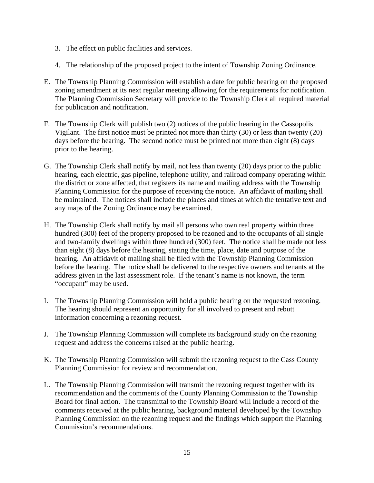- 3. The effect on public facilities and services.
- 4. The relationship of the proposed project to the intent of Township Zoning Ordinance.
- E. The Township Planning Commission will establish a date for public hearing on the proposed zoning amendment at its next regular meeting allowing for the requirements for notification. The Planning Commission Secretary will provide to the Township Clerk all required material for publication and notification.
- F. The Township Clerk will publish two (2) notices of the public hearing in the Cassopolis Vigilant. The first notice must be printed not more than thirty (30) or less than twenty (20) days before the hearing. The second notice must be printed not more than eight (8) days prior to the hearing.
- G. The Township Clerk shall notify by mail, not less than twenty (20) days prior to the public hearing, each electric, gas pipeline, telephone utility, and railroad company operating within the district or zone affected, that registers its name and mailing address with the Township Planning Commission for the purpose of receiving the notice. An affidavit of mailing shall be maintained. The notices shall include the places and times at which the tentative text and any maps of the Zoning Ordinance may be examined.
- H. The Township Clerk shall notify by mail all persons who own real property within three hundred (300) feet of the property proposed to be rezoned and to the occupants of all single and two-family dwellings within three hundred (300) feet. The notice shall be made not less than eight (8) days before the hearing, stating the time, place, date and purpose of the hearing. An affidavit of mailing shall be filed with the Township Planning Commission before the hearing. The notice shall be delivered to the respective owners and tenants at the address given in the last assessment role. If the tenant's name is not known, the term "occupant" may be used.
- I. The Township Planning Commission will hold a public hearing on the requested rezoning. The hearing should represent an opportunity for all involved to present and rebutt information concerning a rezoning request.
- J. The Township Planning Commission will complete its background study on the rezoning request and address the concerns raised at the public hearing.
- K. The Township Planning Commission will submit the rezoning request to the Cass County Planning Commission for review and recommendation.
- L. The Township Planning Commission will transmit the rezoning request together with its recommendation and the comments of the County Planning Commission to the Township Board for final action. The transmittal to the Township Board will include a record of the comments received at the public hearing, background material developed by the Township Planning Commission on the rezoning request and the findings which support the Planning Commission's recommendations.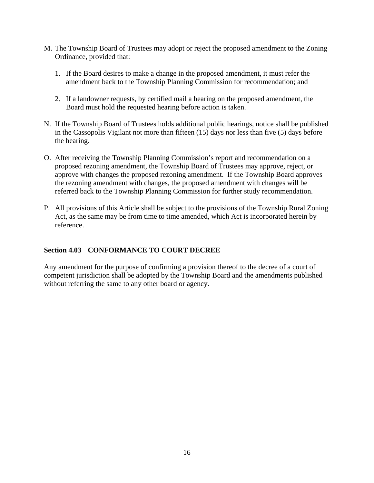- M. The Township Board of Trustees may adopt or reject the proposed amendment to the Zoning Ordinance, provided that:
	- 1. If the Board desires to make a change in the proposed amendment, it must refer the amendment back to the Township Planning Commission for recommendation; and
	- 2. If a landowner requests, by certified mail a hearing on the proposed amendment, the Board must hold the requested hearing before action is taken.
- N. If the Township Board of Trustees holds additional public hearings, notice shall be published in the Cassopolis Vigilant not more than fifteen (15) days nor less than five (5) days before the hearing.
- O. After receiving the Township Planning Commission's report and recommendation on a proposed rezoning amendment, the Township Board of Trustees may approve, reject, or approve with changes the proposed rezoning amendment. If the Township Board approves the rezoning amendment with changes, the proposed amendment with changes will be referred back to the Township Planning Commission for further study recommendation.
- P. All provisions of this Article shall be subject to the provisions of the Township Rural Zoning Act, as the same may be from time to time amended, which Act is incorporated herein by reference.

# **Section 4.03 CONFORMANCE TO COURT DECREE**

Any amendment for the purpose of confirming a provision thereof to the decree of a court of competent jurisdiction shall be adopted by the Township Board and the amendments published without referring the same to any other board or agency.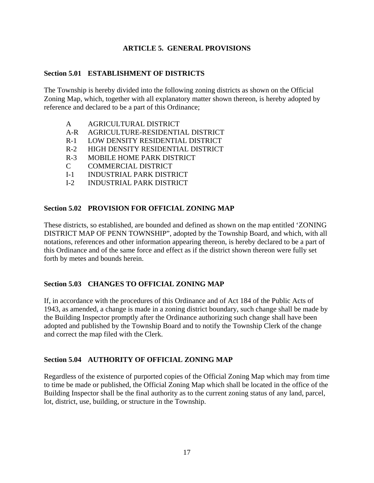## **ARTICLE 5. GENERAL PROVISIONS**

#### **Section 5.01 ESTABLISHMENT OF DISTRICTS**

The Township is hereby divided into the following zoning districts as shown on the Official Zoning Map, which, together with all explanatory matter shown thereon, is hereby adopted by reference and declared to be a part of this Ordinance;

- A AGRICULTURAL DISTRICT
- A-R AGRICULTURE-RESIDENTIAL DISTRICT
- R-1 LOW DENSITY RESIDENTIAL DISTRICT
- R-2 HIGH DENSITY RESIDENTIAL DISTRICT
- R-3 MOBILE HOME PARK DISTRICT
- C COMMERCIAL DISTRICT
- I-1 INDUSTRIAL PARK DISTRICT
- I-2 INDUSTRIAL PARK DISTRICT

#### **Section 5.02 PROVISION FOR OFFICIAL ZONING MAP**

These districts, so established, are bounded and defined as shown on the map entitled 'ZONING DISTRICT MAP OF PENN TOWNSHIP", adopted by the Township Board, and which, with all notations, references and other information appearing thereon, is hereby declared to be a part of this Ordinance and of the same force and effect as if the district shown thereon were fully set forth by metes and bounds herein.

#### **Section 5.03 CHANGES TO OFFICIAL ZONING MAP**

If, in accordance with the procedures of this Ordinance and of Act 184 of the Public Acts of 1943, as amended, a change is made in a zoning district boundary, such change shall be made by the Building Inspector promptly after the Ordinance authorizing such change shall have been adopted and published by the Township Board and to notify the Township Clerk of the change and correct the map filed with the Clerk.

#### **Section 5.04 AUTHORITY OF OFFICIAL ZONING MAP**

Regardless of the existence of purported copies of the Official Zoning Map which may from time to time be made or published, the Official Zoning Map which shall be located in the office of the Building Inspector shall be the final authority as to the current zoning status of any land, parcel, lot, district, use, building, or structure in the Township.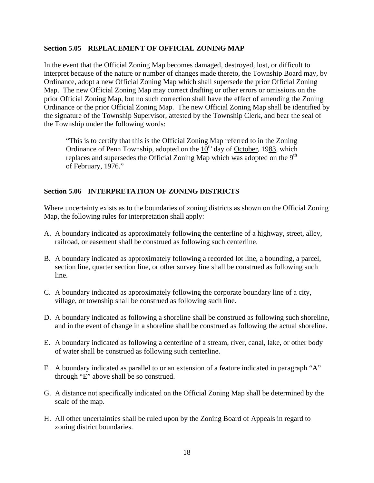## **Section 5.05 REPLACEMENT OF OFFICIAL ZONING MAP**

In the event that the Official Zoning Map becomes damaged, destroyed, lost, or difficult to interpret because of the nature or number of changes made thereto, the Township Board may, by Ordinance, adopt a new Official Zoning Map which shall supersede the prior Official Zoning Map. The new Official Zoning Map may correct drafting or other errors or omissions on the prior Official Zoning Map, but no such correction shall have the effect of amending the Zoning Ordinance or the prior Official Zoning Map. The new Official Zoning Map shall be identified by the signature of the Township Supervisor, attested by the Township Clerk, and bear the seal of the Township under the following words:

"This is to certify that this is the Official Zoning Map referred to in the Zoning Ordinance of Penn Township, adopted on the  $10<sup>th</sup>$  day of October, 1983, which replaces and supersedes the Official Zoning Map which was adopted on the  $9<sup>th</sup>$ of February, 1976."

#### **Section 5.06 INTERPRETATION OF ZONING DISTRICTS**

Where uncertainty exists as to the boundaries of zoning districts as shown on the Official Zoning Map, the following rules for interpretation shall apply:

- A. A boundary indicated as approximately following the centerline of a highway, street, alley, railroad, or easement shall be construed as following such centerline.
- B. A boundary indicated as approximately following a recorded lot line, a bounding, a parcel, section line, quarter section line, or other survey line shall be construed as following such line.
- C. A boundary indicated as approximately following the corporate boundary line of a city, village, or township shall be construed as following such line.
- D. A boundary indicated as following a shoreline shall be construed as following such shoreline, and in the event of change in a shoreline shall be construed as following the actual shoreline.
- E. A boundary indicated as following a centerline of a stream, river, canal, lake, or other body of water shall be construed as following such centerline.
- F. A boundary indicated as parallel to or an extension of a feature indicated in paragraph "A" through "E" above shall be so construed.
- G. A distance not specifically indicated on the Official Zoning Map shall be determined by the scale of the map.
- H. All other uncertainties shall be ruled upon by the Zoning Board of Appeals in regard to zoning district boundaries.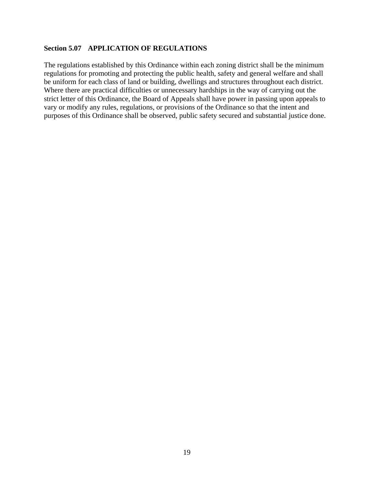#### **Section 5.07 APPLICATION OF REGULATIONS**

The regulations established by this Ordinance within each zoning district shall be the minimum regulations for promoting and protecting the public health, safety and general welfare and shall be uniform for each class of land or building, dwellings and structures throughout each district. Where there are practical difficulties or unnecessary hardships in the way of carrying out the strict letter of this Ordinance, the Board of Appeals shall have power in passing upon appeals to vary or modify any rules, regulations, or provisions of the Ordinance so that the intent and purposes of this Ordinance shall be observed, public safety secured and substantial justice done.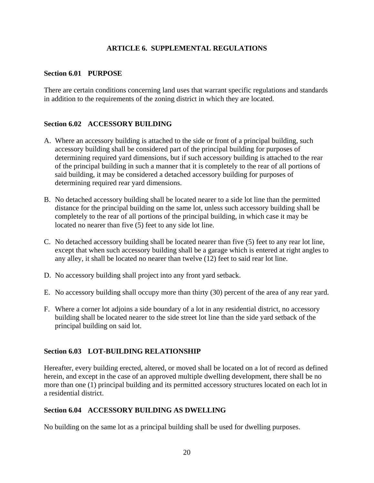## **ARTICLE 6. SUPPLEMENTAL REGULATIONS**

#### **Section 6.01 PURPOSE**

There are certain conditions concerning land uses that warrant specific regulations and standards in addition to the requirements of the zoning district in which they are located.

#### **Section 6.02 ACCESSORY BUILDING**

- A. Where an accessory building is attached to the side or front of a principal building, such accessory building shall be considered part of the principal building for purposes of determining required yard dimensions, but if such accessory building is attached to the rear of the principal building in such a manner that it is completely to the rear of all portions of said building, it may be considered a detached accessory building for purposes of determining required rear yard dimensions.
- B. No detached accessory building shall be located nearer to a side lot line than the permitted distance for the principal building on the same lot, unless such accessory building shall be completely to the rear of all portions of the principal building, in which case it may be located no nearer than five (5) feet to any side lot line.
- C. No detached accessory building shall be located nearer than five (5) feet to any rear lot line, except that when such accessory building shall be a garage which is entered at right angles to any alley, it shall be located no nearer than twelve (12) feet to said rear lot line.
- D. No accessory building shall project into any front yard setback.
- E. No accessory building shall occupy more than thirty (30) percent of the area of any rear yard.
- F. Where a corner lot adjoins a side boundary of a lot in any residential district, no accessory building shall be located nearer to the side street lot line than the side yard setback of the principal building on said lot.

#### **Section 6.03 LOT-BUILDING RELATIONSHIP**

Hereafter, every building erected, altered, or moved shall be located on a lot of record as defined herein, and except in the case of an approved multiple dwelling development, there shall be no more than one (1) principal building and its permitted accessory structures located on each lot in a residential district.

#### **Section 6.04 ACCESSORY BUILDING AS DWELLING**

No building on the same lot as a principal building shall be used for dwelling purposes.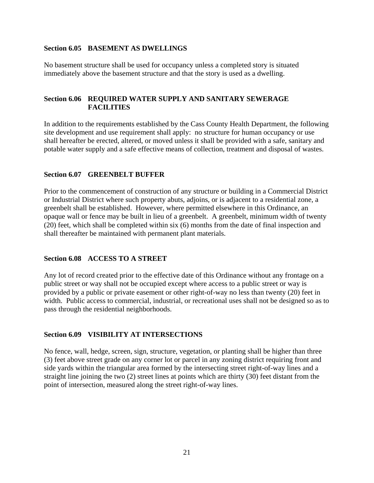#### **Section 6.05 BASEMENT AS DWELLINGS**

No basement structure shall be used for occupancy unless a completed story is situated immediately above the basement structure and that the story is used as a dwelling.

## **Section 6.06 REQUIRED WATER SUPPLY AND SANITARY SEWERAGE FACILITIES**

In addition to the requirements established by the Cass County Health Department, the following site development and use requirement shall apply: no structure for human occupancy or use shall hereafter be erected, altered, or moved unless it shall be provided with a safe, sanitary and potable water supply and a safe effective means of collection, treatment and disposal of wastes.

# **Section 6.07 GREENBELT BUFFER**

Prior to the commencement of construction of any structure or building in a Commercial District or Industrial District where such property abuts, adjoins, or is adjacent to a residential zone, a greenbelt shall be established. However, where permitted elsewhere in this Ordinance, an opaque wall or fence may be built in lieu of a greenbelt. A greenbelt, minimum width of twenty (20) feet, which shall be completed within six (6) months from the date of final inspection and shall thereafter be maintained with permanent plant materials.

#### **Section 6.08 ACCESS TO A STREET**

Any lot of record created prior to the effective date of this Ordinance without any frontage on a public street or way shall not be occupied except where access to a public street or way is provided by a public or private easement or other right-of-way no less than twenty (20) feet in width. Public access to commercial, industrial, or recreational uses shall not be designed so as to pass through the residential neighborhoods.

#### **Section 6.09 VISIBILITY AT INTERSECTIONS**

No fence, wall, hedge, screen, sign, structure, vegetation, or planting shall be higher than three (3) feet above street grade on any corner lot or parcel in any zoning district requiring front and side yards within the triangular area formed by the intersecting street right-of-way lines and a straight line joining the two (2) street lines at points which are thirty (30) feet distant from the point of intersection, measured along the street right-of-way lines.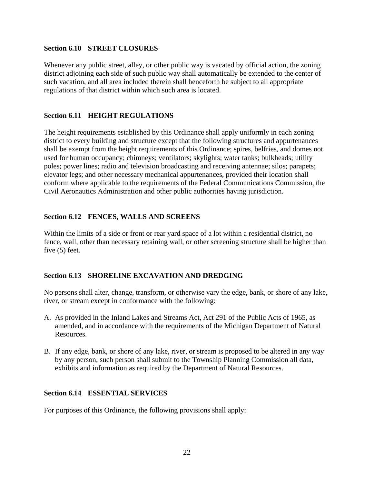#### **Section 6.10 STREET CLOSURES**

Whenever any public street, alley, or other public way is vacated by official action, the zoning district adjoining each side of such public way shall automatically be extended to the center of such vacation, and all area included therein shall henceforth be subject to all appropriate regulations of that district within which such area is located.

# **Section 6.11 HEIGHT REGULATIONS**

The height requirements established by this Ordinance shall apply uniformly in each zoning district to every building and structure except that the following structures and appurtenances shall be exempt from the height requirements of this Ordinance; spires, belfries, and domes not used for human occupancy; chimneys; ventilators; skylights; water tanks; bulkheads; utility poles; power lines; radio and television broadcasting and receiving antennae; silos; parapets; elevator legs; and other necessary mechanical appurtenances, provided their location shall conform where applicable to the requirements of the Federal Communications Commission, the Civil Aeronautics Administration and other public authorities having jurisdiction.

# **Section 6.12 FENCES, WALLS AND SCREENS**

Within the limits of a side or front or rear yard space of a lot within a residential district, no fence, wall, other than necessary retaining wall, or other screening structure shall be higher than five (5) feet.

# **Section 6.13 SHORELINE EXCAVATION AND DREDGING**

No persons shall alter, change, transform, or otherwise vary the edge, bank, or shore of any lake, river, or stream except in conformance with the following:

- A. As provided in the Inland Lakes and Streams Act, Act 291 of the Public Acts of 1965, as amended, and in accordance with the requirements of the Michigan Department of Natural Resources.
- B. If any edge, bank, or shore of any lake, river, or stream is proposed to be altered in any way by any person, such person shall submit to the Township Planning Commission all data, exhibits and information as required by the Department of Natural Resources.

# **Section 6.14 ESSENTIAL SERVICES**

For purposes of this Ordinance, the following provisions shall apply: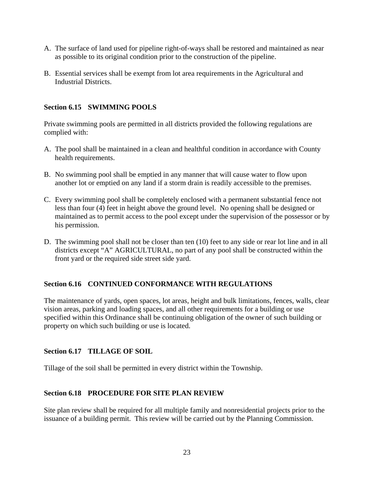- A. The surface of land used for pipeline right-of-ways shall be restored and maintained as near as possible to its original condition prior to the construction of the pipeline.
- B. Essential services shall be exempt from lot area requirements in the Agricultural and Industrial Districts.

# **Section 6.15 SWIMMING POOLS**

Private swimming pools are permitted in all districts provided the following regulations are complied with:

- A. The pool shall be maintained in a clean and healthful condition in accordance with County health requirements.
- B. No swimming pool shall be emptied in any manner that will cause water to flow upon another lot or emptied on any land if a storm drain is readily accessible to the premises.
- C. Every swimming pool shall be completely enclosed with a permanent substantial fence not less than four (4) feet in height above the ground level. No opening shall be designed or maintained as to permit access to the pool except under the supervision of the possessor or by his permission.
- D. The swimming pool shall not be closer than ten (10) feet to any side or rear lot line and in all districts except "A" AGRICULTURAL, no part of any pool shall be constructed within the front yard or the required side street side yard.

#### **Section 6.16 CONTINUED CONFORMANCE WITH REGULATIONS**

The maintenance of yards, open spaces, lot areas, height and bulk limitations, fences, walls, clear vision areas, parking and loading spaces, and all other requirements for a building or use specified within this Ordinance shall be continuing obligation of the owner of such building or property on which such building or use is located.

#### **Section 6.17 TILLAGE OF SOIL**

Tillage of the soil shall be permitted in every district within the Township.

#### **Section 6.18 PROCEDURE FOR SITE PLAN REVIEW**

Site plan review shall be required for all multiple family and nonresidential projects prior to the issuance of a building permit. This review will be carried out by the Planning Commission.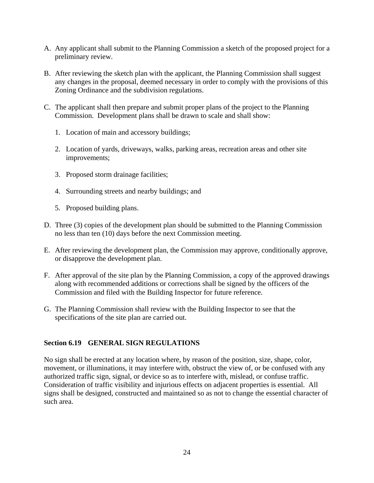- A. Any applicant shall submit to the Planning Commission a sketch of the proposed project for a preliminary review.
- B. After reviewing the sketch plan with the applicant, the Planning Commission shall suggest any changes in the proposal, deemed necessary in order to comply with the provisions of this Zoning Ordinance and the subdivision regulations.
- C. The applicant shall then prepare and submit proper plans of the project to the Planning Commission. Development plans shall be drawn to scale and shall show:
	- 1. Location of main and accessory buildings;
	- 2. Location of yards, driveways, walks, parking areas, recreation areas and other site improvements;
	- 3. Proposed storm drainage facilities;
	- 4. Surrounding streets and nearby buildings; and
	- 5. Proposed building plans.
- D. Three (3) copies of the development plan should be submitted to the Planning Commission no less than ten (10) days before the next Commission meeting.
- E. After reviewing the development plan, the Commission may approve, conditionally approve, or disapprove the development plan.
- F. After approval of the site plan by the Planning Commission, a copy of the approved drawings along with recommended additions or corrections shall be signed by the officers of the Commission and filed with the Building Inspector for future reference.
- G. The Planning Commission shall review with the Building Inspector to see that the specifications of the site plan are carried out.

# **Section 6.19 GENERAL SIGN REGULATIONS**

No sign shall be erected at any location where, by reason of the position, size, shape, color, movement, or illuminations, it may interfere with, obstruct the view of, or be confused with any authorized traffic sign, signal, or device so as to interfere with, mislead, or confuse traffic. Consideration of traffic visibility and injurious effects on adjacent properties is essential. All signs shall be designed, constructed and maintained so as not to change the essential character of such area.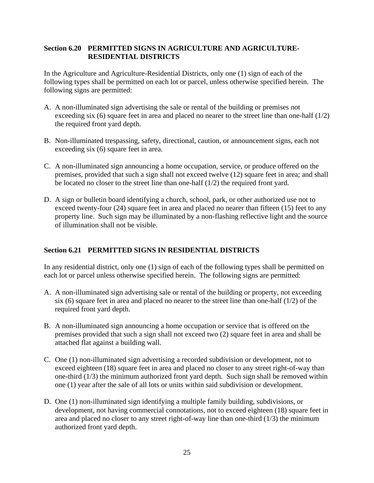## **Section 6.20 PERMITTED SIGNS IN AGRICULTURE AND AGRICULTURE-RESIDENTIAL DISTRICTS**

In the Agriculture and Agriculture-Residential Districts, only one (1) sign of each of the following types shall be permitted on each lot or parcel, unless otherwise specified herein. The following signs are permitted:

- A. A non-illuminated sign advertising the sale or rental of the building or premises not exceeding six (6) square feet in area and placed no nearer to the street line than one-half  $(1/2)$ the required front yard depth.
- B. Non-illuminated trespassing, safety, directional, caution, or announcement signs, each not exceeding six (6) square feet in area.
- C. A non-illuminated sign announcing a home occupation, service, or produce offered on the premises, provided that such a sign shall not exceed twelve (12) square feet in area; and shall be located no closer to the street line than one-half (1/2) the required front yard.
- D. A sign or bulletin board identifying a church, school, park, or other authorized use not to exceed twenty-four (24) square feet in area and placed no nearer than fifteen (15) feet to any property line. Such sign may be illuminated by a non-flashing reflective light and the source of illumination shall not be visible.

# **Section 6.21 PERMITTED SIGNS IN RESIDENTIAL DISTRICTS**

In any residential district, only one (1) sign of each of the following types shall be permitted on each lot or parcel unless otherwise specified herein. The following signs are permitted:

- A. A non-illuminated sign advertising sale or rental of the building or property, not exceeding six (6) square feet in area and placed no nearer to the street line than one-half  $(1/2)$  of the required front yard depth.
- B. A non-illuminated sign announcing a home occupation or service that is offered on the premises provided that such a sign shall not exceed two (2) square feet in area and shall be attached flat against a building wall.
- C. One (1) non-illuminated sign advertising a recorded subdivision or development, not to exceed eighteen (18) square feet in area and placed no closer to any street right-of-way than one-third (1/3) the minimum authorized front yard depth. Such sign shall be removed within one (1) year after the sale of all lots or units within said subdivision or development.
- D. One (1) non-illuminated sign identifying a multiple family building, subdivisions, or development, not having commercial connotations, not to exceed eighteen (18) square feet in area and placed no closer to any street right-of-way line than one-third (1/3) the minimum authorized front yard depth.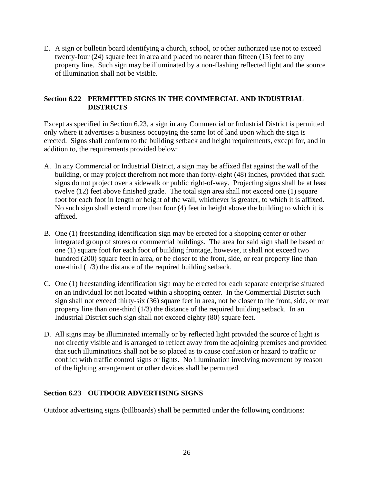E. A sign or bulletin board identifying a church, school, or other authorized use not to exceed twenty-four (24) square feet in area and placed no nearer than fifteen (15) feet to any property line. Such sign may be illuminated by a non-flashing reflected light and the source of illumination shall not be visible.

# **Section 6.22 PERMITTED SIGNS IN THE COMMERCIAL AND INDUSTRIAL DISTRICTS**

Except as specified in Section 6.23, a sign in any Commercial or Industrial District is permitted only where it advertises a business occupying the same lot of land upon which the sign is erected. Signs shall conform to the building setback and height requirements, except for, and in addition to, the requirements provided below:

- A. In any Commercial or Industrial District, a sign may be affixed flat against the wall of the building, or may project therefrom not more than forty-eight (48) inches, provided that such signs do not project over a sidewalk or public right-of-way. Projecting signs shall be at least twelve (12) feet above finished grade. The total sign area shall not exceed one (1) square foot for each foot in length or height of the wall, whichever is greater, to which it is affixed. No such sign shall extend more than four (4) feet in height above the building to which it is affixed.
- B. One (1) freestanding identification sign may be erected for a shopping center or other integrated group of stores or commercial buildings. The area for said sign shall be based on one (1) square foot for each foot of building frontage, however, it shall not exceed two hundred (200) square feet in area, or be closer to the front, side, or rear property line than one-third (1/3) the distance of the required building setback.
- C. One (1) freestanding identification sign may be erected for each separate enterprise situated on an individual lot not located within a shopping center. In the Commercial District such sign shall not exceed thirty-six (36) square feet in area, not be closer to the front, side, or rear property line than one-third (1/3) the distance of the required building setback. In an Industrial District such sign shall not exceed eighty (80) square feet.
- D. All signs may be illuminated internally or by reflected light provided the source of light is not directly visible and is arranged to reflect away from the adjoining premises and provided that such illuminations shall not be so placed as to cause confusion or hazard to traffic or conflict with traffic control signs or lights. No illumination involving movement by reason of the lighting arrangement or other devices shall be permitted.

# **Section 6.23 OUTDOOR ADVERTISING SIGNS**

Outdoor advertising signs (billboards) shall be permitted under the following conditions: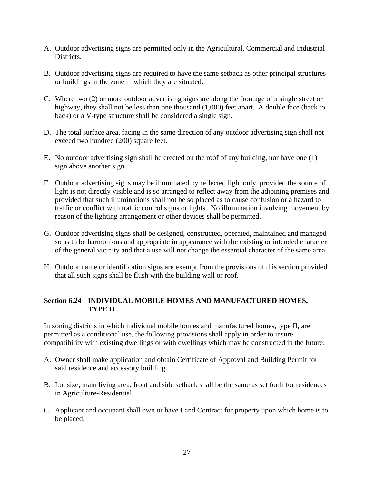- A. Outdoor advertising signs are permitted only in the Agricultural, Commercial and Industrial Districts.
- B. Outdoor advertising signs are required to have the same setback as other principal structures or buildings in the zone in which they are situated.
- C. Where two (2) or more outdoor advertising signs are along the frontage of a single street or highway, they shall not be less than one thousand  $(1,000)$  feet apart. A double face (back to back) or a V-type structure shall be considered a single sign.
- D. The total surface area, facing in the same direction of any outdoor advertising sign shall not exceed two hundred (200) square feet.
- E. No outdoor advertising sign shall be erected on the roof of any building, nor have one (1) sign above another sign.
- F. Outdoor advertising signs may be illuminated by reflected light only, provided the source of light is not directly visible and is so arranged to reflect away from the adjoining premises and provided that such illuminations shall not be so placed as to cause confusion or a hazard to traffic or conflict with traffic control signs or lights. No illumination involving movement by reason of the lighting arrangement or other devices shall be permitted.
- G. Outdoor advertising signs shall be designed, constructed, operated, maintained and managed so as to be harmonious and appropriate in appearance with the existing or intended character of the general vicinity and that a use will not change the essential character of the same area.
- H. Outdoor name or identification signs are exempt from the provisions of this section provided that all such signs shall be flush with the building wall or roof.

# **Section 6.24 INDIVIDUAL MOBILE HOMES AND MANUFACTURED HOMES, TYPE II**

In zoning districts in which individual mobile homes and manufactured homes, type II, are permitted as a conditional use, the following provisions shall apply in order to insure compatibility with existing dwellings or with dwellings which may be constructed in the future:

- A. Owner shall make application and obtain Certificate of Approval and Building Permit for said residence and accessory building.
- B. Lot size, main living area, front and side setback shall be the same as set forth for residences in Agriculture-Residential.
- C. Applicant and occupant shall own or have Land Contract for property upon which home is to be placed.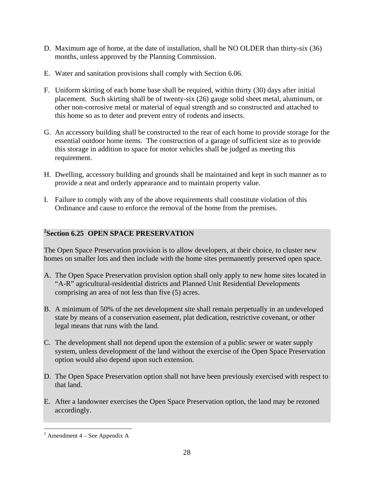- D. Maximum age of home, at the date of installation, shall be NO OLDER than thirty-six (36) months, unless approved by the Planning Commission.
- E. Water and sanitation provisions shall comply with Section 6.06.
- F. Uniform skirting of each home base shall be required, within thirty (30) days after initial placement. Such skirting shall be of twenty-six (26) gauge solid sheet metal, aluminum, or other non-corrosive metal or material of equal strength and so constructed and attached to this home so as to deter and prevent entry of rodents and insects.
- G. An accessory building shall be constructed to the rear of each home to provide storage for the essential outdoor home items. The construction of a garage of sufficient size as to provide this storage in addition to space for motor vehicles shall be judged as meeting this requirement.
- H. Dwelling, accessory building and grounds shall be maintained and kept in such manner as to provide a neat and orderly appearance and to maintain property value.
- I. Failure to comply with any of the above requirements shall constitute violation of this Ordinance and cause to enforce the removal of the home from the premises.

# **2 Section 6.25 OPEN SPACE PRESERVATION**

The Open Space Preservation provision is to allow developers, at their choice, to cluster new homes on smaller lots and then include with the home sites permanently preserved open space.

- A. The Open Space Preservation provision option shall only apply to new home sites located in "A-R" agricultural-residential districts and Planned Unit Residential Developments comprising an area of not less than five (5) acres.
- B. A minimum of 50% of the net development site shall remain perpetually in an undeveloped state by means of a conservation easement, plat dedication, restrictive covenant, or other legal means that runs with the land.
- C. The development shall not depend upon the extension of a public sewer or water supply system, unless development of the land without the exercise of the Open Space Preservation option would also depend upon such extension.
- D. The Open Space Preservation option shall not have been previously exercised with respect to that land.
- E. After a landowner exercises the Open Space Preservation option, the land may be rezoned accordingly.

 $\overline{a}$  $2$  Amendment 4 – See Appendix A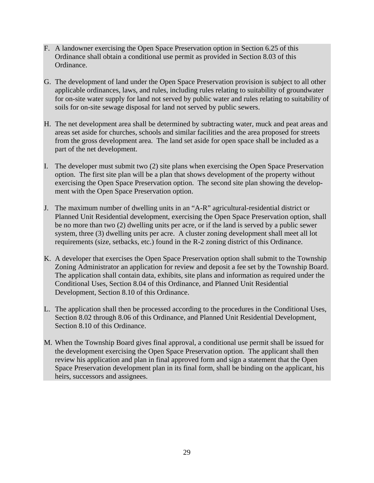- F. A landowner exercising the Open Space Preservation option in Section 6.25 of this Ordinance shall obtain a conditional use permit as provided in Section 8.03 of this Ordinance.
- G. The development of land under the Open Space Preservation provision is subject to all other applicable ordinances, laws, and rules, including rules relating to suitability of groundwater for on-site water supply for land not served by public water and rules relating to suitability of soils for on-site sewage disposal for land not served by public sewers.
- H. The net development area shall be determined by subtracting water, muck and peat areas and areas set aside for churches, schools and similar facilities and the area proposed for streets from the gross development area. The land set aside for open space shall be included as a part of the net development.
- I. The developer must submit two (2) site plans when exercising the Open Space Preservation option. The first site plan will be a plan that shows development of the property without exercising the Open Space Preservation option. The second site plan showing the development with the Open Space Preservation option.
- J. The maximum number of dwelling units in an "A-R" agricultural-residential district or Planned Unit Residential development, exercising the Open Space Preservation option, shall be no more than two (2) dwelling units per acre, or if the land is served by a public sewer system, three (3) dwelling units per acre. A cluster zoning development shall meet all lot requirements (size, setbacks, etc.) found in the R-2 zoning district of this Ordinance.
- K. A developer that exercises the Open Space Preservation option shall submit to the Township Zoning Administrator an application for review and deposit a fee set by the Township Board. The application shall contain data, exhibits, site plans and information as required under the Conditional Uses, Section 8.04 of this Ordinance, and Planned Unit Residential Development, Section 8.10 of this Ordinance.
- L. The application shall then be processed according to the procedures in the Conditional Uses, Section 8.02 through 8.06 of this Ordinance, and Planned Unit Residential Development, Section 8.10 of this Ordinance.
- M. When the Township Board gives final approval, a conditional use permit shall be issued for the development exercising the Open Space Preservation option. The applicant shall then review his application and plan in final approved form and sign a statement that the Open Space Preservation development plan in its final form, shall be binding on the applicant, his heirs, successors and assignees.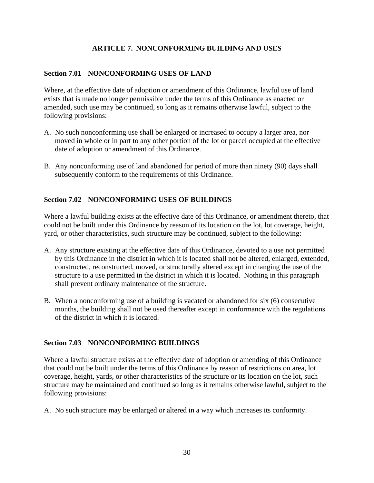# **ARTICLE 7. NONCONFORMING BUILDING AND USES**

## **Section 7.01 NONCONFORMING USES OF LAND**

Where, at the effective date of adoption or amendment of this Ordinance, lawful use of land exists that is made no longer permissible under the terms of this Ordinance as enacted or amended, such use may be continued, so long as it remains otherwise lawful, subject to the following provisions:

- A. No such nonconforming use shall be enlarged or increased to occupy a larger area, nor moved in whole or in part to any other portion of the lot or parcel occupied at the effective date of adoption or amendment of this Ordinance.
- B. Any nonconforming use of land abandoned for period of more than ninety (90) days shall subsequently conform to the requirements of this Ordinance.

# **Section 7.02 NONCONFORMING USES OF BUILDINGS**

Where a lawful building exists at the effective date of this Ordinance, or amendment thereto, that could not be built under this Ordinance by reason of its location on the lot, lot coverage, height, yard, or other characteristics, such structure may be continued, subject to the following:

- A. Any structure existing at the effective date of this Ordinance, devoted to a use not permitted by this Ordinance in the district in which it is located shall not be altered, enlarged, extended, constructed, reconstructed, moved, or structurally altered except in changing the use of the structure to a use permitted in the district in which it is located. Nothing in this paragraph shall prevent ordinary maintenance of the structure.
- B. When a nonconforming use of a building is vacated or abandoned for six (6) consecutive months, the building shall not be used thereafter except in conformance with the regulations of the district in which it is located.

#### **Section 7.03 NONCONFORMING BUILDINGS**

Where a lawful structure exists at the effective date of adoption or amending of this Ordinance that could not be built under the terms of this Ordinance by reason of restrictions on area, lot coverage, height, yards, or other characteristics of the structure or its location on the lot, such structure may be maintained and continued so long as it remains otherwise lawful, subject to the following provisions:

A. No such structure may be enlarged or altered in a way which increases its conformity.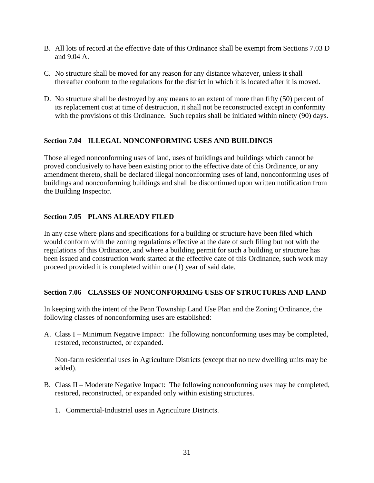- B. All lots of record at the effective date of this Ordinance shall be exempt from Sections 7.03 D and 9.04 A.
- C. No structure shall be moved for any reason for any distance whatever, unless it shall thereafter conform to the regulations for the district in which it is located after it is moved.
- D. No structure shall be destroyed by any means to an extent of more than fifty (50) percent of its replacement cost at time of destruction, it shall not be reconstructed except in conformity with the provisions of this Ordinance. Such repairs shall be initiated within ninety (90) days.

# **Section 7.04 ILLEGAL NONCONFORMING USES AND BUILDINGS**

Those alleged nonconforming uses of land, uses of buildings and buildings which cannot be proved conclusively to have been existing prior to the effective date of this Ordinance, or any amendment thereto, shall be declared illegal nonconforming uses of land, nonconforming uses of buildings and nonconforming buildings and shall be discontinued upon written notification from the Building Inspector.

#### **Section 7.05 PLANS ALREADY FILED**

In any case where plans and specifications for a building or structure have been filed which would conform with the zoning regulations effective at the date of such filing but not with the regulations of this Ordinance, and where a building permit for such a building or structure has been issued and construction work started at the effective date of this Ordinance, such work may proceed provided it is completed within one (1) year of said date.

#### **Section 7.06 CLASSES OF NONCONFORMING USES OF STRUCTURES AND LAND**

In keeping with the intent of the Penn Township Land Use Plan and the Zoning Ordinance, the following classes of nonconforming uses are established:

A. Class I – Minimum Negative Impact: The following nonconforming uses may be completed, restored, reconstructed, or expanded.

Non-farm residential uses in Agriculture Districts (except that no new dwelling units may be added).

- B. Class II Moderate Negative Impact: The following nonconforming uses may be completed, restored, reconstructed, or expanded only within existing structures.
	- 1. Commercial-Industrial uses in Agriculture Districts.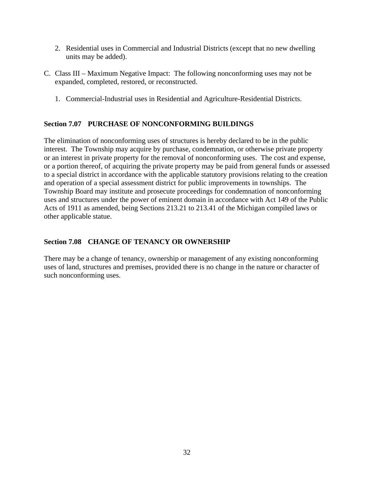- 2. Residential uses in Commercial and Industrial Districts (except that no new dwelling units may be added).
- C. Class III Maximum Negative Impact: The following nonconforming uses may not be expanded, completed, restored, or reconstructed.
	- 1. Commercial-Industrial uses in Residential and Agriculture-Residential Districts.

# **Section 7.07 PURCHASE OF NONCONFORMING BUILDINGS**

The elimination of nonconforming uses of structures is hereby declared to be in the public interest. The Township may acquire by purchase, condemnation, or otherwise private property or an interest in private property for the removal of nonconforming uses. The cost and expense, or a portion thereof, of acquiring the private property may be paid from general funds or assessed to a special district in accordance with the applicable statutory provisions relating to the creation and operation of a special assessment district for public improvements in townships. The Township Board may institute and prosecute proceedings for condemnation of nonconforming uses and structures under the power of eminent domain in accordance with Act 149 of the Public Acts of 1911 as amended, being Sections 213.21 to 213.41 of the Michigan compiled laws or other applicable statue.

# **Section 7.08 CHANGE OF TENANCY OR OWNERSHIP**

There may be a change of tenancy, ownership or management of any existing nonconforming uses of land, structures and premises, provided there is no change in the nature or character of such nonconforming uses.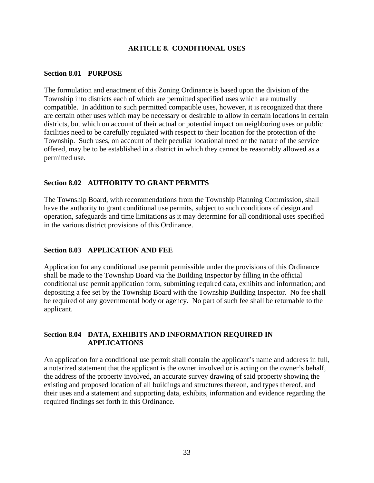# **ARTICLE 8. CONDITIONAL USES**

### **Section 8.01 PURPOSE**

The formulation and enactment of this Zoning Ordinance is based upon the division of the Township into districts each of which are permitted specified uses which are mutually compatible. In addition to such permitted compatible uses, however, it is recognized that there are certain other uses which may be necessary or desirable to allow in certain locations in certain districts, but which on account of their actual or potential impact on neighboring uses or public facilities need to be carefully regulated with respect to their location for the protection of the Township. Such uses, on account of their peculiar locational need or the nature of the service offered, may be to be established in a district in which they cannot be reasonably allowed as a permitted use.

## **Section 8.02 AUTHORITY TO GRANT PERMITS**

The Township Board, with recommendations from the Township Planning Commission, shall have the authority to grant conditional use permits, subject to such conditions of design and operation, safeguards and time limitations as it may determine for all conditional uses specified in the various district provisions of this Ordinance.

### **Section 8.03 APPLICATION AND FEE**

Application for any conditional use permit permissible under the provisions of this Ordinance shall be made to the Township Board via the Building Inspector by filling in the official conditional use permit application form, submitting required data, exhibits and information; and depositing a fee set by the Township Board with the Township Building Inspector. No fee shall be required of any governmental body or agency. No part of such fee shall be returnable to the applicant.

# **Section 8.04 DATA, EXHIBITS AND INFORMATION REQUIRED IN APPLICATIONS**

An application for a conditional use permit shall contain the applicant's name and address in full, a notarized statement that the applicant is the owner involved or is acting on the owner's behalf, the address of the property involved, an accurate survey drawing of said property showing the existing and proposed location of all buildings and structures thereon, and types thereof, and their uses and a statement and supporting data, exhibits, information and evidence regarding the required findings set forth in this Ordinance.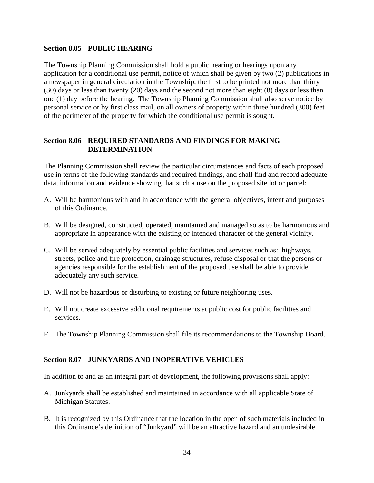### **Section 8.05 PUBLIC HEARING**

The Township Planning Commission shall hold a public hearing or hearings upon any application for a conditional use permit, notice of which shall be given by two (2) publications in a newspaper in general circulation in the Township, the first to be printed not more than thirty (30) days or less than twenty (20) days and the second not more than eight (8) days or less than one (1) day before the hearing. The Township Planning Commission shall also serve notice by personal service or by first class mail, on all owners of property within three hundred (300) feet of the perimeter of the property for which the conditional use permit is sought.

## **Section 8.06 REQUIRED STANDARDS AND FINDINGS FOR MAKING DETERMINATION**

The Planning Commission shall review the particular circumstances and facts of each proposed use in terms of the following standards and required findings, and shall find and record adequate data, information and evidence showing that such a use on the proposed site lot or parcel:

- A. Will be harmonious with and in accordance with the general objectives, intent and purposes of this Ordinance.
- B. Will be designed, constructed, operated, maintained and managed so as to be harmonious and appropriate in appearance with the existing or intended character of the general vicinity.
- C. Will be served adequately by essential public facilities and services such as: highways, streets, police and fire protection, drainage structures, refuse disposal or that the persons or agencies responsible for the establishment of the proposed use shall be able to provide adequately any such service.
- D. Will not be hazardous or disturbing to existing or future neighboring uses.
- E. Will not create excessive additional requirements at public cost for public facilities and services.
- F. The Township Planning Commission shall file its recommendations to the Township Board.

# **Section 8.07 JUNKYARDS AND INOPERATIVE VEHICLES**

In addition to and as an integral part of development, the following provisions shall apply:

- A. Junkyards shall be established and maintained in accordance with all applicable State of Michigan Statutes.
- B. It is recognized by this Ordinance that the location in the open of such materials included in this Ordinance's definition of "Junkyard" will be an attractive hazard and an undesirable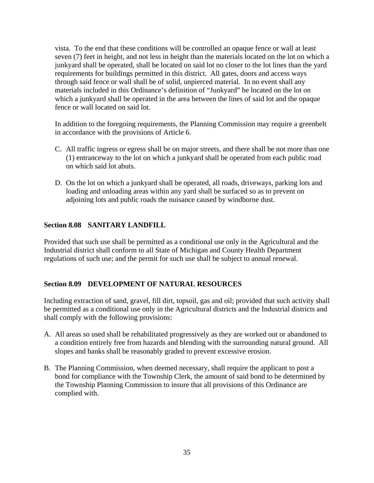vista. To the end that these conditions will be controlled an opaque fence or wall at least seven (7) feet in height, and not less in height than the materials located on the lot on which a junkyard shall be operated, shall be located on said lot no closer to the lot lines than the yard requirements for buildings permitted in this district. All gates, doors and access ways through said fence or wall shall be of solid, unpierced material. In no event shall any materials included in this Ordinance's definition of "Junkyard" be located on the lot on which a junkyard shall be operated in the area between the lines of said lot and the opaque fence or wall located on said lot.

In addition to the foregoing requirements, the Planning Commission may require a greenbelt in accordance with the provisions of Article 6.

- C. All traffic ingress or egress shall be on major streets, and there shall be not more than one (1) entranceway to the lot on which a junkyard shall be operated from each public road on which said lot abuts.
- D. On the lot on which a junkyard shall be operated, all roads, driveways, parking lots and loading and unloading areas within any yard shall be surfaced so as to prevent on adjoining lots and public roads the nuisance caused by windborne dust.

# **Section 8.08 SANITARY LANDFILL**

Provided that such use shall be permitted as a conditional use only in the Agricultural and the Industrial district shall conform to all State of Michigan and County Health Department regulations of such use; and the permit for such use shall be subject to annual renewal.

### **Section 8.09 DEVELOPMENT OF NATURAL RESOURCES**

Including extraction of sand, gravel, fill dirt, topsoil, gas and oil; provided that such activity shall be permitted as a conditional use only in the Agricultural districts and the Industrial districts and shall comply with the following provisions:

- A. All areas so used shall be rehabilitated progressively as they are worked out or abandoned to a condition entirely free from hazards and blending with the surrounding natural ground. All slopes and banks shall be reasonably graded to prevent excessive erosion.
- B. The Planning Commission, when deemed necessary, shall require the applicant to post a bond for compliance with the Township Clerk, the amount of said bond to be determined by the Township Planning Commission to insure that all provisions of this Ordinance are complied with.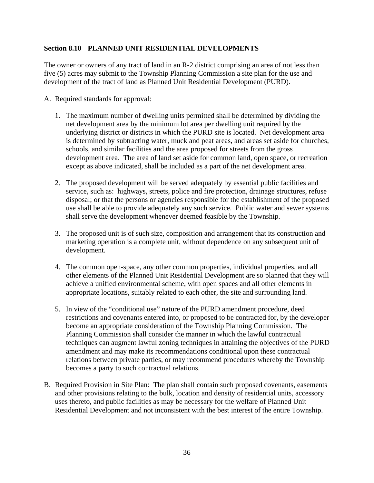# **Section 8.10 PLANNED UNIT RESIDENTIAL DEVELOPMENTS**

The owner or owners of any tract of land in an R-2 district comprising an area of not less than five (5) acres may submit to the Township Planning Commission a site plan for the use and development of the tract of land as Planned Unit Residential Development (PURD).

- A. Required standards for approval:
	- 1. The maximum number of dwelling units permitted shall be determined by dividing the net development area by the minimum lot area per dwelling unit required by the underlying district or districts in which the PURD site is located. Net development area is determined by subtracting water, muck and peat areas, and areas set aside for churches, schools, and similar facilities and the area proposed for streets from the gross development area. The area of land set aside for common land, open space, or recreation except as above indicated, shall be included as a part of the net development area.
	- 2. The proposed development will be served adequately by essential public facilities and service, such as: highways, streets, police and fire protection, drainage structures, refuse disposal; or that the persons or agencies responsible for the establishment of the proposed use shall be able to provide adequately any such service. Public water and sewer systems shall serve the development whenever deemed feasible by the Township.
	- 3. The proposed unit is of such size, composition and arrangement that its construction and marketing operation is a complete unit, without dependence on any subsequent unit of development.
	- 4. The common open-space, any other common properties, individual properties, and all other elements of the Planned Unit Residential Development are so planned that they will achieve a unified environmental scheme, with open spaces and all other elements in appropriate locations, suitably related to each other, the site and surrounding land.
	- 5. In view of the "conditional use" nature of the PURD amendment procedure, deed restrictions and covenants entered into, or proposed to be contracted for, by the developer become an appropriate consideration of the Township Planning Commission. The Planning Commission shall consider the manner in which the lawful contractual techniques can augment lawful zoning techniques in attaining the objectives of the PURD amendment and may make its recommendations conditional upon these contractual relations between private parties, or may recommend procedures whereby the Township becomes a party to such contractual relations.
- B. Required Provision in Site Plan: The plan shall contain such proposed covenants, easements and other provisions relating to the bulk, location and density of residential units, accessory uses thereto, and public facilities as may be necessary for the welfare of Planned Unit Residential Development and not inconsistent with the best interest of the entire Township.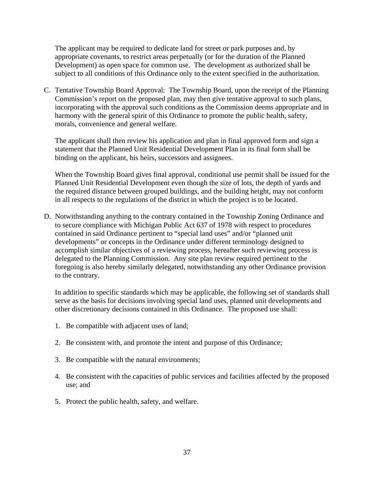The applicant may be required to dedicate land for street or park purposes and, by appropriate covenants, to restrict areas perpetually (or for the duration of the Planned Development) as open space for common use. The development as authorized shall be subject to all conditions of this Ordinance only to the extent specified in the authorization.

C. Tentative Township Board Approval: The Township Board, upon the receipt of the Planning Commission's report on the proposed plan, may then give tentative approval to such plans, incorporating with the approval such conditions as the Commission deems appropriate and in harmony with the general spirit of this Ordinance to promote the public health, safety, morals, convenience and general welfare.

The applicant shall then review his application and plan in final approved form and sign a statement that the Planned Unit Residential Development Plan in its final form shall be binding on the applicant, his heirs, successors and assignees.

When the Township Board gives final approval, conditional use permit shall be issued for the Planned Unit Residential Development even though the size of lots, the depth of yards and the required distance between grouped buildings, and the building height, may not conform in all respects to the regulations of the district in which the project is to be located.

D. Notwithstanding anything to the contrary contained in the Township Zoning Ordinance and to secure compliance with Michigan Public Act 637 of 1978 with respect to procedures contained in said Ordinance pertinent to "special land uses" and/or "planned unit developments" or concepts in the Ordinance under different terminology designed to accomplish similar objectives of a reviewing process, hereafter such reviewing process is delegated to the Planning Commission. Any site plan review required pertinent to the foregoing is also hereby similarly delegated, notwithstanding any other Ordinance provision to the contrary.

In addition to specific standards which may be applicable, the following set of standards shall serve as the basis for decisions involving special land uses, planned unit developments and other discretionary decisions contained in this Ordinance. The proposed use shall:

- 1. Be compatible with adjacent uses of land;
- 2. Be consistent with, and promote the intent and purpose of this Ordinance;
- 3. Be compatible with the natural environments;
- 4. Be consistent with the capacities of public services and facilities affected by the proposed use; and
- 5. Protect the public health, safety, and welfare.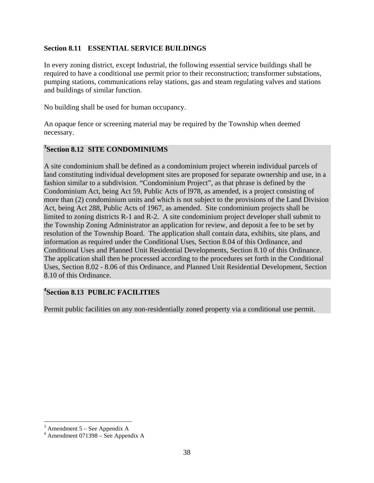## **Section 8.11 ESSENTIAL SERVICE BUILDINGS**

In every zoning district, except Industrial, the following essential service buildings shall be required to have a conditional use permit prior to their reconstruction; transformer substations, pumping stations, communications relay stations, gas and steam regulating valves and stations and buildings of similar function.

No building shall be used for human occupancy.

An opaque fence or screening material may be required by the Township when deemed necessary.

# **3 Section 8.12 SITE CONDOMINIUMS**

A site condominium shall be defined as a condominium project wherein individual parcels of land constituting individual development sites are proposed for separate ownership and use, in a fashion similar to a subdivision. "Condominium Project", as that phrase is defined by the Condominium Act, being Act 59, Public Acts of l978, as amended, is a project consisting of more than (2) condominium units and which is not subject to the provisions of the Land Division Act, being Act 288, Public Acts of 1967, as amended. Site condominium projects shall be limited to zoning districts R-1 and R-2. A site condominium project developer shall submit to the Township Zoning Administrator an application for review, and deposit a fee to be set by resolution of the Township Board. The application shall contain data, exhibits, site plans, and information as required under the Conditional Uses, Section 8.04 of this Ordinance, and Conditional Uses and Planned Unit Residential Developments, Section 8.10 of this Ordinance. The application shall then be processed according to the procedures set forth in the Conditional Uses, Section 8.02 - 8.06 of this Ordinance, and Planned Unit Residential Development, Section 8.10 of this Ordinance.

# **4 Section 8.13 PUBLIC FACILITIES**

Permit public facilities on any non-residentially zoned property via a conditional use permit.

 $3 \text{ A}$ <br>  $4 \text{ A}$  mendment 071308 See Appendix A

 $4$  Amendment 071398 – See Appendix A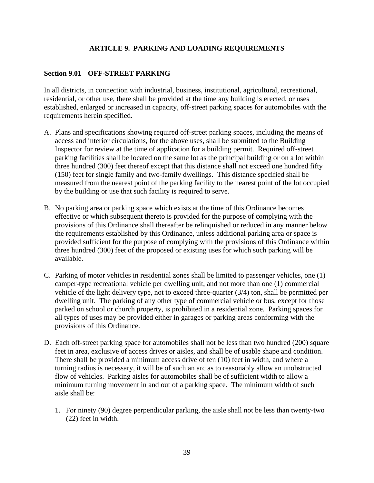# **ARTICLE 9. PARKING AND LOADING REQUIREMENTS**

# **Section 9.01 OFF-STREET PARKING**

In all districts, in connection with industrial, business, institutional, agricultural, recreational, residential, or other use, there shall be provided at the time any building is erected, or uses established, enlarged or increased in capacity, off-street parking spaces for automobiles with the requirements herein specified.

- A. Plans and specifications showing required off-street parking spaces, including the means of access and interior circulations, for the above uses, shall be submitted to the Building Inspector for review at the time of application for a building permit. Required off-street parking facilities shall be located on the same lot as the principal building or on a lot within three hundred (300) feet thereof except that this distance shall not exceed one hundred fifty (150) feet for single family and two-family dwellings. This distance specified shall be measured from the nearest point of the parking facility to the nearest point of the lot occupied by the building or use that such facility is required to serve.
- B. No parking area or parking space which exists at the time of this Ordinance becomes effective or which subsequent thereto is provided for the purpose of complying with the provisions of this Ordinance shall thereafter be relinquished or reduced in any manner below the requirements established by this Ordinance, unless additional parking area or space is provided sufficient for the purpose of complying with the provisions of this Ordinance within three hundred (300) feet of the proposed or existing uses for which such parking will be available.
- C. Parking of motor vehicles in residential zones shall be limited to passenger vehicles, one (1) camper-type recreational vehicle per dwelling unit, and not more than one (1) commercial vehicle of the light delivery type, not to exceed three-quarter (3/4) ton, shall be permitted per dwelling unit. The parking of any other type of commercial vehicle or bus, except for those parked on school or church property, is prohibited in a residential zone. Parking spaces for all types of uses may be provided either in garages or parking areas conforming with the provisions of this Ordinance.
- D. Each off-street parking space for automobiles shall not be less than two hundred (200) square feet in area, exclusive of access drives or aisles, and shall be of usable shape and condition. There shall be provided a minimum access drive of ten (10) feet in width, and where a turning radius is necessary, it will be of such an arc as to reasonably allow an unobstructed flow of vehicles. Parking aisles for automobiles shall be of sufficient width to allow a minimum turning movement in and out of a parking space. The minimum width of such aisle shall be:
	- 1. For ninety (90) degree perpendicular parking, the aisle shall not be less than twenty-two (22) feet in width.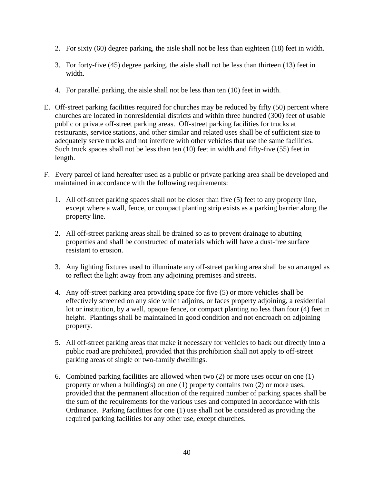- 2. For sixty (60) degree parking, the aisle shall not be less than eighteen (18) feet in width.
- 3. For forty-five (45) degree parking, the aisle shall not be less than thirteen (13) feet in width.
- 4. For parallel parking, the aisle shall not be less than ten (10) feet in width.
- E. Off-street parking facilities required for churches may be reduced by fifty (50) percent where churches are located in nonresidential districts and within three hundred (300) feet of usable public or private off-street parking areas. Off-street parking facilities for trucks at restaurants, service stations, and other similar and related uses shall be of sufficient size to adequately serve trucks and not interfere with other vehicles that use the same facilities. Such truck spaces shall not be less than ten (10) feet in width and fifty-five (55) feet in length.
- F. Every parcel of land hereafter used as a public or private parking area shall be developed and maintained in accordance with the following requirements:
	- 1. All off-street parking spaces shall not be closer than five (5) feet to any property line, except where a wall, fence, or compact planting strip exists as a parking barrier along the property line.
	- 2. All off-street parking areas shall be drained so as to prevent drainage to abutting properties and shall be constructed of materials which will have a dust-free surface resistant to erosion.
	- 3. Any lighting fixtures used to illuminate any off-street parking area shall be so arranged as to reflect the light away from any adjoining premises and streets.
	- 4. Any off-street parking area providing space for five (5) or more vehicles shall be effectively screened on any side which adjoins, or faces property adjoining, a residential lot or institution, by a wall, opaque fence, or compact planting no less than four (4) feet in height. Plantings shall be maintained in good condition and not encroach on adjoining property.
	- 5. All off-street parking areas that make it necessary for vehicles to back out directly into a public road are prohibited, provided that this prohibition shall not apply to off-street parking areas of single or two-family dwellings.
	- 6. Combined parking facilities are allowed when two (2) or more uses occur on one (1) property or when a building(s) on one (1) property contains two (2) or more uses, provided that the permanent allocation of the required number of parking spaces shall be the sum of the requirements for the various uses and computed in accordance with this Ordinance. Parking facilities for one (1) use shall not be considered as providing the required parking facilities for any other use, except churches.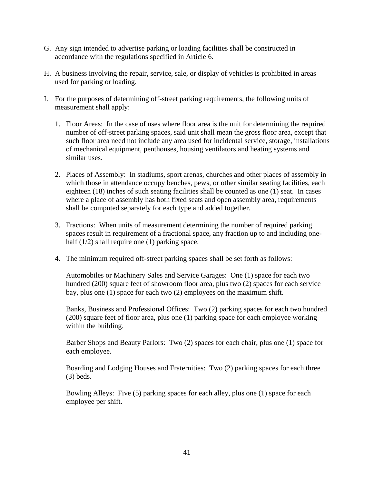- G. Any sign intended to advertise parking or loading facilities shall be constructed in accordance with the regulations specified in Article 6.
- H. A business involving the repair, service, sale, or display of vehicles is prohibited in areas used for parking or loading.
- I. For the purposes of determining off-street parking requirements, the following units of measurement shall apply:
	- 1. Floor Areas: In the case of uses where floor area is the unit for determining the required number of off-street parking spaces, said unit shall mean the gross floor area, except that such floor area need not include any area used for incidental service, storage, installations of mechanical equipment, penthouses, housing ventilators and heating systems and similar uses.
	- 2. Places of Assembly: In stadiums, sport arenas, churches and other places of assembly in which those in attendance occupy benches, pews, or other similar seating facilities, each eighteen (18) inches of such seating facilities shall be counted as one (1) seat. In cases where a place of assembly has both fixed seats and open assembly area, requirements shall be computed separately for each type and added together.
	- 3. Fractions: When units of measurement determining the number of required parking spaces result in requirement of a fractional space, any fraction up to and including onehalf (1/2) shall require one (1) parking space.
	- 4. The minimum required off-street parking spaces shall be set forth as follows:

Automobiles or Machinery Sales and Service Garages: One (1) space for each two hundred (200) square feet of showroom floor area, plus two (2) spaces for each service bay, plus one (1) space for each two (2) employees on the maximum shift.

Banks, Business and Professional Offices: Two (2) parking spaces for each two hundred (200) square feet of floor area, plus one (1) parking space for each employee working within the building.

Barber Shops and Beauty Parlors: Two (2) spaces for each chair, plus one (1) space for each employee.

Boarding and Lodging Houses and Fraternities: Two (2) parking spaces for each three (3) beds.

Bowling Alleys: Five (5) parking spaces for each alley, plus one (1) space for each employee per shift.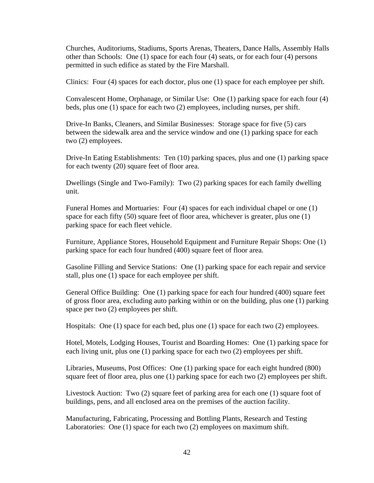Churches, Auditoriums, Stadiums, Sports Arenas, Theaters, Dance Halls, Assembly Halls other than Schools: One (1) space for each four (4) seats, or for each four (4) persons permitted in such edifice as stated by the Fire Marshall.

Clinics: Four (4) spaces for each doctor, plus one (1) space for each employee per shift.

Convalescent Home, Orphanage, or Similar Use: One (1) parking space for each four (4) beds, plus one (1) space for each two (2) employees, including nurses, per shift.

Drive-In Banks, Cleaners, and Similar Businesses: Storage space for five (5) cars between the sidewalk area and the service window and one (1) parking space for each two (2) employees.

Drive-In Eating Establishments: Ten (10) parking spaces, plus and one (1) parking space for each twenty (20) square feet of floor area.

Dwellings (Single and Two-Family): Two (2) parking spaces for each family dwelling unit.

Funeral Homes and Mortuaries: Four (4) spaces for each individual chapel or one (1) space for each fifty (50) square feet of floor area, whichever is greater, plus one (1) parking space for each fleet vehicle.

Furniture, Appliance Stores, Household Equipment and Furniture Repair Shops: One (1) parking space for each four hundred (400) square feet of floor area.

Gasoline Filling and Service Stations: One (1) parking space for each repair and service stall, plus one (1) space for each employee per shift.

General Office Building: One (1) parking space for each four hundred (400) square feet of gross floor area, excluding auto parking within or on the building, plus one (1) parking space per two (2) employees per shift.

Hospitals: One (1) space for each bed, plus one (1) space for each two (2) employees.

Hotel, Motels, Lodging Houses, Tourist and Boarding Homes: One (1) parking space for each living unit, plus one (1) parking space for each two (2) employees per shift.

Libraries, Museums, Post Offices: One (1) parking space for each eight hundred (800) square feet of floor area, plus one (1) parking space for each two (2) employees per shift.

Livestock Auction: Two (2) square feet of parking area for each one (1) square foot of buildings, pens, and all enclosed area on the premises of the auction facility.

Manufacturing, Fabricating, Processing and Bottling Plants, Research and Testing Laboratories: One (1) space for each two (2) employees on maximum shift.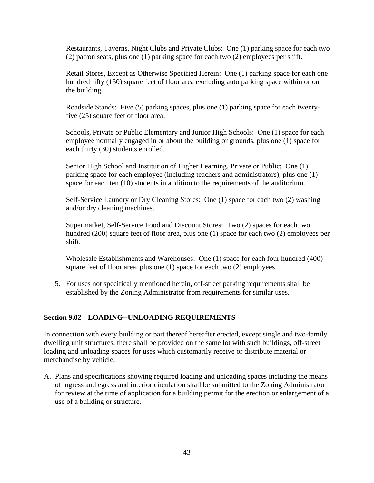Restaurants, Taverns, Night Clubs and Private Clubs: One (1) parking space for each two (2) patron seats, plus one (1) parking space for each two (2) employees per shift.

Retail Stores, Except as Otherwise Specified Herein: One (1) parking space for each one hundred fifty (150) square feet of floor area excluding auto parking space within or on the building.

Roadside Stands: Five (5) parking spaces, plus one (1) parking space for each twentyfive (25) square feet of floor area.

Schools, Private or Public Elementary and Junior High Schools: One (1) space for each employee normally engaged in or about the building or grounds, plus one (1) space for each thirty (30) students enrolled.

Senior High School and Institution of Higher Learning, Private or Public: One (1) parking space for each employee (including teachers and administrators), plus one (1) space for each ten (10) students in addition to the requirements of the auditorium.

Self-Service Laundry or Dry Cleaning Stores: One (1) space for each two (2) washing and/or dry cleaning machines.

Supermarket, Self-Service Food and Discount Stores: Two (2) spaces for each two hundred (200) square feet of floor area, plus one (1) space for each two (2) employees per shift.

Wholesale Establishments and Warehouses: One (1) space for each four hundred (400) square feet of floor area, plus one (1) space for each two (2) employees.

5. For uses not specifically mentioned herein, off-street parking requirements shall be established by the Zoning Administrator from requirements for similar uses.

# **Section 9.02 LOADING--UNLOADING REQUIREMENTS**

In connection with every building or part thereof hereafter erected, except single and two-family dwelling unit structures, there shall be provided on the same lot with such buildings, off-street loading and unloading spaces for uses which customarily receive or distribute material or merchandise by vehicle.

A. Plans and specifications showing required loading and unloading spaces including the means of ingress and egress and interior circulation shall be submitted to the Zoning Administrator for review at the time of application for a building permit for the erection or enlargement of a use of a building or structure.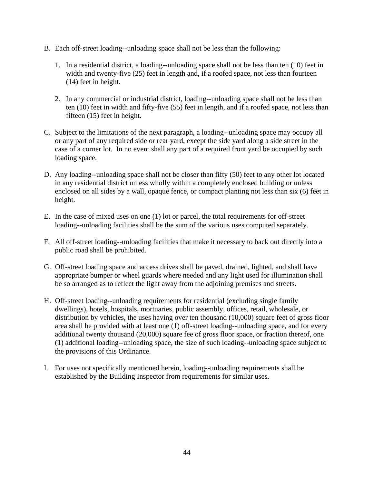- B. Each off-street loading--unloading space shall not be less than the following:
	- 1. In a residential district, a loading--unloading space shall not be less than ten (10) feet in width and twenty-five (25) feet in length and, if a roofed space, not less than fourteen (14) feet in height.
	- 2. In any commercial or industrial district, loading--unloading space shall not be less than ten (10) feet in width and fifty-five (55) feet in length, and if a roofed space, not less than fifteen (15) feet in height.
- C. Subject to the limitations of the next paragraph, a loading--unloading space may occupy all or any part of any required side or rear yard, except the side yard along a side street in the case of a corner lot. In no event shall any part of a required front yard be occupied by such loading space.
- D. Any loading--unloading space shall not be closer than fifty (50) feet to any other lot located in any residential district unless wholly within a completely enclosed building or unless enclosed on all sides by a wall, opaque fence, or compact planting not less than six (6) feet in height.
- E. In the case of mixed uses on one (1) lot or parcel, the total requirements for off-street loading--unloading facilities shall be the sum of the various uses computed separately.
- F. All off-street loading--unloading facilities that make it necessary to back out directly into a public road shall be prohibited.
- G. Off-street loading space and access drives shall be paved, drained, lighted, and shall have appropriate bumper or wheel guards where needed and any light used for illumination shall be so arranged as to reflect the light away from the adjoining premises and streets.
- H. Off-street loading--unloading requirements for residential (excluding single family dwellings), hotels, hospitals, mortuaries, public assembly, offices, retail, wholesale, or distribution by vehicles, the uses having over ten thousand (10,000) square feet of gross floor area shall be provided with at least one (1) off-street loading--unloading space, and for every additional twenty thousand (20,000) square fee of gross floor space, or fraction thereof, one (1) additional loading--unloading space, the size of such loading--unloading space subject to the provisions of this Ordinance.
- I. For uses not specifically mentioned herein, loading--unloading requirements shall be established by the Building Inspector from requirements for similar uses.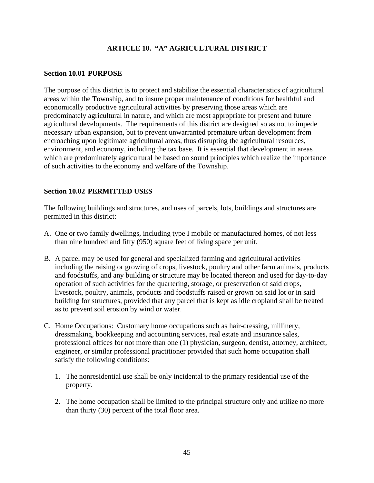# **ARTICLE 10. "A" AGRICULTURAL DISTRICT**

#### **Section 10.01 PURPOSE**

The purpose of this district is to protect and stabilize the essential characteristics of agricultural areas within the Township, and to insure proper maintenance of conditions for healthful and economically productive agricultural activities by preserving those areas which are predominately agricultural in nature, and which are most appropriate for present and future agricultural developments. The requirements of this district are designed so as not to impede necessary urban expansion, but to prevent unwarranted premature urban development from encroaching upon legitimate agricultural areas, thus disrupting the agricultural resources, environment, and economy, including the tax base. It is essential that development in areas which are predominately agricultural be based on sound principles which realize the importance of such activities to the economy and welfare of the Township.

### **Section 10.02 PERMITTED USES**

The following buildings and structures, and uses of parcels, lots, buildings and structures are permitted in this district:

- A. One or two family dwellings, including type I mobile or manufactured homes, of not less than nine hundred and fifty (950) square feet of living space per unit.
- B. A parcel may be used for general and specialized farming and agricultural activities including the raising or growing of crops, livestock, poultry and other farm animals, products and foodstuffs, and any building or structure may be located thereon and used for day-to-day operation of such activities for the quartering, storage, or preservation of said crops, livestock, poultry, animals, products and foodstuffs raised or grown on said lot or in said building for structures, provided that any parcel that is kept as idle cropland shall be treated as to prevent soil erosion by wind or water.
- C. Home Occupations: Customary home occupations such as hair-dressing, millinery, dressmaking, bookkeeping and accounting services, real estate and insurance sales, professional offices for not more than one (1) physician, surgeon, dentist, attorney, architect, engineer, or similar professional practitioner provided that such home occupation shall satisfy the following conditions:
	- 1. The nonresidential use shall be only incidental to the primary residential use of the property.
	- 2. The home occupation shall be limited to the principal structure only and utilize no more than thirty (30) percent of the total floor area.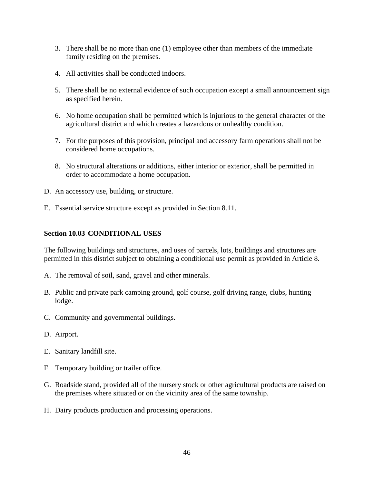- 3. There shall be no more than one (1) employee other than members of the immediate family residing on the premises.
- 4. All activities shall be conducted indoors.
- 5. There shall be no external evidence of such occupation except a small announcement sign as specified herein.
- 6. No home occupation shall be permitted which is injurious to the general character of the agricultural district and which creates a hazardous or unhealthy condition.
- 7. For the purposes of this provision, principal and accessory farm operations shall not be considered home occupations.
- 8. No structural alterations or additions, either interior or exterior, shall be permitted in order to accommodate a home occupation.
- D. An accessory use, building, or structure.
- E. Essential service structure except as provided in Section 8.11.

## **Section 10.03 CONDITIONAL USES**

The following buildings and structures, and uses of parcels, lots, buildings and structures are permitted in this district subject to obtaining a conditional use permit as provided in Article 8.

- A. The removal of soil, sand, gravel and other minerals.
- B. Public and private park camping ground, golf course, golf driving range, clubs, hunting lodge.
- C. Community and governmental buildings.
- D. Airport.
- E. Sanitary landfill site.
- F. Temporary building or trailer office.
- G. Roadside stand, provided all of the nursery stock or other agricultural products are raised on the premises where situated or on the vicinity area of the same township.
- H. Dairy products production and processing operations.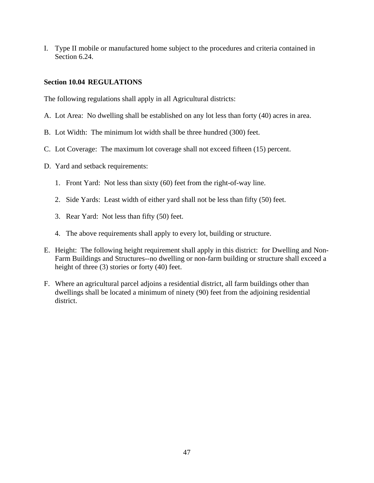I. Type II mobile or manufactured home subject to the procedures and criteria contained in Section 6.24.

### **Section 10.04 REGULATIONS**

The following regulations shall apply in all Agricultural districts:

- A. Lot Area: No dwelling shall be established on any lot less than forty (40) acres in area.
- B. Lot Width: The minimum lot width shall be three hundred (300) feet.
- C. Lot Coverage: The maximum lot coverage shall not exceed fifteen (15) percent.
- D. Yard and setback requirements:
	- 1. Front Yard: Not less than sixty (60) feet from the right-of-way line.
	- 2. Side Yards: Least width of either yard shall not be less than fifty (50) feet.
	- 3. Rear Yard: Not less than fifty (50) feet.
	- 4. The above requirements shall apply to every lot, building or structure.
- E. Height: The following height requirement shall apply in this district: for Dwelling and Non-Farm Buildings and Structures--no dwelling or non-farm building or structure shall exceed a height of three (3) stories or forty (40) feet.
- F. Where an agricultural parcel adjoins a residential district, all farm buildings other than dwellings shall be located a minimum of ninety (90) feet from the adjoining residential district.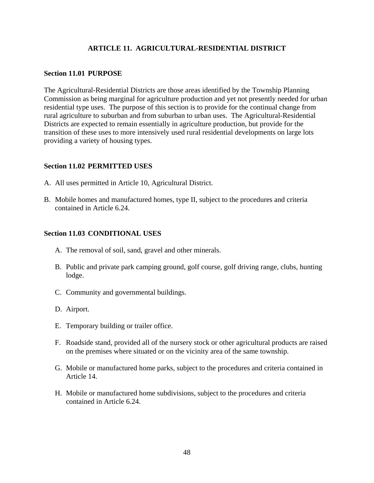# **ARTICLE 11. AGRICULTURAL-RESIDENTIAL DISTRICT**

### **Section 11.01 PURPOSE**

The Agricultural-Residential Districts are those areas identified by the Township Planning Commission as being marginal for agriculture production and yet not presently needed for urban residential type uses. The purpose of this section is to provide for the continual change from rural agriculture to suburban and from suburban to urban uses. The Agricultural-Residential Districts are expected to remain essentially in agriculture production, but provide for the transition of these uses to more intensively used rural residential developments on large lots providing a variety of housing types.

### **Section 11.02 PERMITTED USES**

- A. All uses permitted in Article 10, Agricultural District.
- B. Mobile homes and manufactured homes, type II, subject to the procedures and criteria contained in Article 6.24.

### **Section 11.03 CONDITIONAL USES**

- A. The removal of soil, sand, gravel and other minerals.
- B. Public and private park camping ground, golf course, golf driving range, clubs, hunting lodge.
- C. Community and governmental buildings.
- D. Airport.
- E. Temporary building or trailer office.
- F. Roadside stand, provided all of the nursery stock or other agricultural products are raised on the premises where situated or on the vicinity area of the same township.
- G. Mobile or manufactured home parks, subject to the procedures and criteria contained in Article 14.
- H. Mobile or manufactured home subdivisions, subject to the procedures and criteria contained in Article 6.24.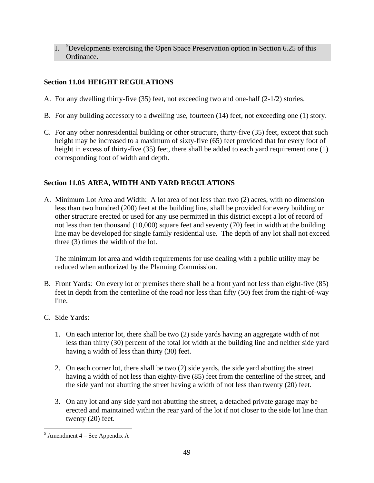I. <sup>5</sup>Developments exercising the Open Space Preservation option in Section 6.25 of this Ordinance.

# **Section 11.04 HEIGHT REGULATIONS**

- A. For any dwelling thirty-five (35) feet, not exceeding two and one-half (2-1/2) stories.
- B. For any building accessory to a dwelling use, fourteen (14) feet, not exceeding one (1) story.
- C. For any other nonresidential building or other structure, thirty-five (35) feet, except that such height may be increased to a maximum of sixty-five (65) feet provided that for every foot of height in excess of thirty-five (35) feet, there shall be added to each yard requirement one (1) corresponding foot of width and depth.

# **Section 11.05 AREA, WIDTH AND YARD REGULATIONS**

A. Minimum Lot Area and Width: A lot area of not less than two (2) acres, with no dimension less than two hundred (200) feet at the building line, shall be provided for every building or other structure erected or used for any use permitted in this district except a lot of record of not less than ten thousand (10,000) square feet and seventy (70) feet in width at the building line may be developed for single family residential use. The depth of any lot shall not exceed three (3) times the width of the lot.

 The minimum lot area and width requirements for use dealing with a public utility may be reduced when authorized by the Planning Commission.

- B. Front Yards: On every lot or premises there shall be a front yard not less than eight-five (85) feet in depth from the centerline of the road nor less than fifty (50) feet from the right-of-way line.
- C. Side Yards:
	- 1. On each interior lot, there shall be two (2) side yards having an aggregate width of not less than thirty (30) percent of the total lot width at the building line and neither side yard having a width of less than thirty (30) feet.
	- 2. On each corner lot, there shall be two (2) side yards, the side yard abutting the street having a width of not less than eighty-five (85) feet from the centerline of the street, and the side yard not abutting the street having a width of not less than twenty (20) feet.
	- 3. On any lot and any side yard not abutting the street, a detached private garage may be erected and maintained within the rear yard of the lot if not closer to the side lot line than twenty (20) feet.

 $\overline{a}$  $<sup>5</sup>$  Amendment 4 – See Appendix A</sup>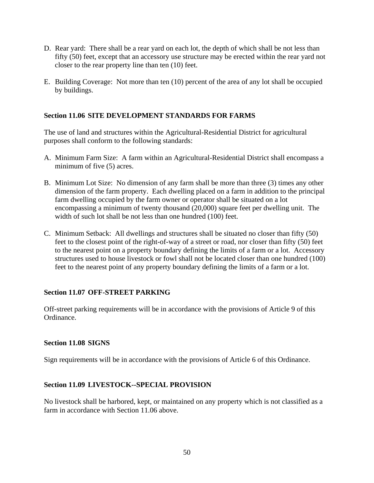- D. Rear yard: There shall be a rear yard on each lot, the depth of which shall be not less than fifty (50) feet, except that an accessory use structure may be erected within the rear yard not closer to the rear property line than ten (10) feet.
- E. Building Coverage: Not more than ten (10) percent of the area of any lot shall be occupied by buildings.

## **Section 11.06 SITE DEVELOPMENT STANDARDS FOR FARMS**

The use of land and structures within the Agricultural-Residential District for agricultural purposes shall conform to the following standards:

- A. Minimum Farm Size: A farm within an Agricultural-Residential District shall encompass a minimum of five (5) acres.
- B. Minimum Lot Size: No dimension of any farm shall be more than three (3) times any other dimension of the farm property. Each dwelling placed on a farm in addition to the principal farm dwelling occupied by the farm owner or operator shall be situated on a lot encompassing a minimum of twenty thousand (20,000) square feet per dwelling unit. The width of such lot shall be not less than one hundred (100) feet.
- C. Minimum Setback: All dwellings and structures shall be situated no closer than fifty (50) feet to the closest point of the right-of-way of a street or road, nor closer than fifty (50) feet to the nearest point on a property boundary defining the limits of a farm or a lot. Accessory structures used to house livestock or fowl shall not be located closer than one hundred (100) feet to the nearest point of any property boundary defining the limits of a farm or a lot.

### **Section 11.07 OFF-STREET PARKING**

Off-street parking requirements will be in accordance with the provisions of Article 9 of this Ordinance.

### **Section 11.08 SIGNS**

Sign requirements will be in accordance with the provisions of Article 6 of this Ordinance.

### **Section 11.09 LIVESTOCK--SPECIAL PROVISION**

No livestock shall be harbored, kept, or maintained on any property which is not classified as a farm in accordance with Section 11.06 above.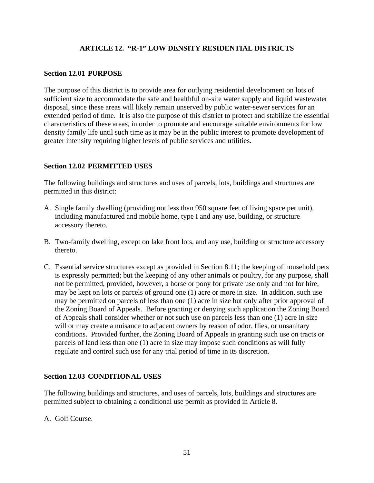# **ARTICLE 12. "R-1" LOW DENSITY RESIDENTIAL DISTRICTS**

## **Section 12.01 PURPOSE**

The purpose of this district is to provide area for outlying residential development on lots of sufficient size to accommodate the safe and healthful on-site water supply and liquid wastewater disposal, since these areas will likely remain unserved by public water-sewer services for an extended period of time. It is also the purpose of this district to protect and stabilize the essential characteristics of these areas, in order to promote and encourage suitable environments for low density family life until such time as it may be in the public interest to promote development of greater intensity requiring higher levels of public services and utilities.

# **Section 12.02 PERMITTED USES**

The following buildings and structures and uses of parcels, lots, buildings and structures are permitted in this district:

- A. Single family dwelling (providing not less than 950 square feet of living space per unit), including manufactured and mobile home, type I and any use, building, or structure accessory thereto.
- B. Two-family dwelling, except on lake front lots, and any use, building or structure accessory thereto.
- C. Essential service structures except as provided in Section 8.11; the keeping of household pets is expressly permitted; but the keeping of any other animals or poultry, for any purpose, shall not be permitted, provided, however, a horse or pony for private use only and not for hire, may be kept on lots or parcels of ground one (1) acre or more in size. In addition, such use may be permitted on parcels of less than one (1) acre in size but only after prior approval of the Zoning Board of Appeals. Before granting or denying such application the Zoning Board of Appeals shall consider whether or not such use on parcels less than one (1) acre in size will or may create a nuisance to adjacent owners by reason of odor, flies, or unsanitary conditions. Provided further, the Zoning Board of Appeals in granting such use on tracts or parcels of land less than one (1) acre in size may impose such conditions as will fully regulate and control such use for any trial period of time in its discretion.

# **Section 12.03 CONDITIONAL USES**

The following buildings and structures, and uses of parcels, lots, buildings and structures are permitted subject to obtaining a conditional use permit as provided in Article 8.

A. Golf Course.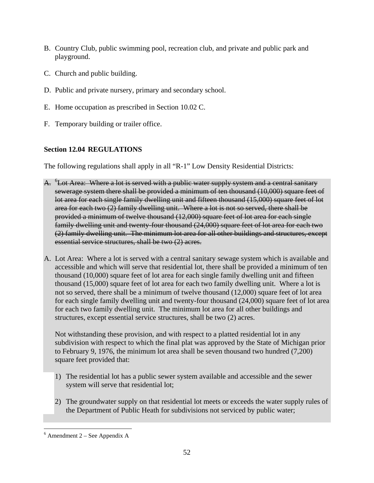- B. Country Club, public swimming pool, recreation club, and private and public park and playground.
- C. Church and public building.
- D. Public and private nursery, primary and secondary school.
- E. Home occupation as prescribed in Section 10.02 C.
- F. Temporary building or trailer office.

# **Section 12.04 REGULATIONS**

The following regulations shall apply in all "R-1" Low Density Residential Districts:

- A. <sup>6</sup>Lot Area: Where a lot is served with a public water supply system and a central sanitary sewerage system there shall be provided a minimum of ten thousand (10,000) square feet of lot area for each single family dwelling unit and fifteen thousand (15,000) square feet of lot area for each two (2) family dwelling unit. Where a lot is not so served, there shall be provided a minimum of twelve thousand (12,000) square feet of lot area for each single family dwelling unit and twenty-four thousand (24,000) square feet of lot area for each two (2) family dwelling unit. The minimum lot area for all other buildings and structures, except essential service structures, shall be two (2) acres.
- A. Lot Area: Where a lot is served with a central sanitary sewage system which is available and accessible and which will serve that residential lot, there shall be provided a minimum of ten thousand (10,000) square feet of lot area for each single family dwelling unit and fifteen thousand (15,000) square feet of lot area for each two family dwelling unit. Where a lot is not so served, there shall be a minimum of twelve thousand (12,000) square feet of lot area for each single family dwelling unit and twenty-four thousand (24,000) square feet of lot area for each two family dwelling unit. The minimum lot area for all other buildings and structures, except essential service structures, shall be two (2) acres.

Not withstanding these provision, and with respect to a platted residential lot in any subdivision with respect to which the final plat was approved by the State of Michigan prior to February 9, 1976, the minimum lot area shall be seven thousand two hundred (7,200) square feet provided that:

- 1) The residential lot has a public sewer system available and accessible and the sewer system will serve that residential lot;
- 2) The groundwater supply on that residential lot meets or exceeds the water supply rules of the Department of Public Heath for subdivisions not serviced by public water;

 $\overline{a}$  $6$  Amendment 2 – See Appendix A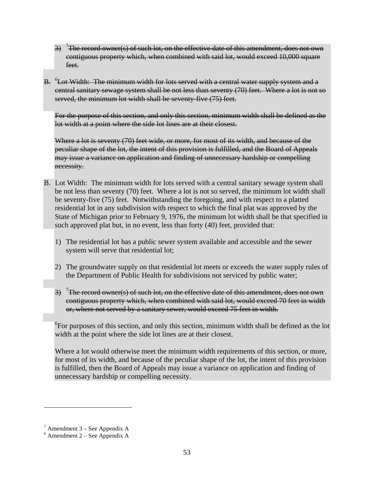- 3) <sup>7</sup>The record owner(s) of such lot, on the effective date of this amendment, does not own contiguous property which, when combined with said lot, would exceed 10,000 square feet.
- B. <sup>6</sup>Lot Width: The minimum width for lots served with a central water supply system and a central sanitary sewage system shall be not less than seventy (70) feet. Where a lot is not so served, the minimum lot width shall be seventy-five (75) feet.

For the purpose of this section, and only this section, minimum width shall be defined as the lot width at a point where the side lot lines are at their closest.

Where a lot is seventy (70) feet wide, or more, for most of its width, and because of the peculiar shape of the lot, the intent of this provision is fulfilled, and the Board of Appeals may issue a variance on application and finding of unnecessary hardship or compelling necessity.

- B. Lot Width: The minimum width for lots served with a central sanitary sewage system shall be not less than seventy (70) feet. Where a lot is not so served, the minimum lot width shall be seventy-five (75) feet. Notwithstanding the foregoing, and with respect to a platted residential lot in any subdivision with respect to which the final plat was approved by the State of Michigan prior to February 9, 1976, the minimum lot width shall be that specified in such approved plat but, in no event, less than forty (40) feet, provided that:
	- 1) The residential lot has a public sewer system available and accessible and the sewer system will serve that residential lot;
	- 2) The groundwater supply on that residential lot meets or exceeds the water supply rules of the Department of Public Health for subdivisions not serviced by public water;
	- 3) <sup>7</sup>The record owner(s) of such lot, on the effective date of this amendment, does not own contiguous property which, when combined with said lot, would exceed 70 feet in width or, where not served by a sanitary sewer, would exceed 75 feet in width.

 ${}^{6}$ For purposes of this section, and only this section, minimum width shall be defined as the lot width at the point where the side lot lines are at their closest.

Where a lot would otherwise meet the minimum width requirements of this section, or more, for most of its width, and because of the peculiar shape of the lot, the intent of this provision is fulfilled, then the Board of Appeals may issue a variance on application and finding of unnecessary hardship or compelling necessity.

 $\overline{a}$ 

 $^7$  Amendment 3 – See Appendix A

 $6$  Amendment 2 – See Appendix A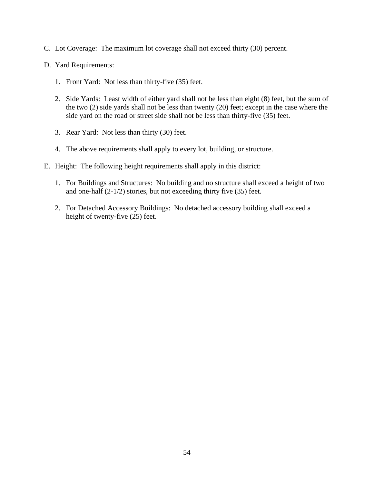- C. Lot Coverage: The maximum lot coverage shall not exceed thirty (30) percent.
- D. Yard Requirements:
	- 1. Front Yard: Not less than thirty-five (35) feet.
	- 2. Side Yards: Least width of either yard shall not be less than eight (8) feet, but the sum of the two (2) side yards shall not be less than twenty (20) feet; except in the case where the side yard on the road or street side shall not be less than thirty-five (35) feet.
	- 3. Rear Yard: Not less than thirty (30) feet.
	- 4. The above requirements shall apply to every lot, building, or structure.
- E. Height: The following height requirements shall apply in this district:
	- 1. For Buildings and Structures: No building and no structure shall exceed a height of two and one-half (2-1/2) stories, but not exceeding thirty five (35) feet.
	- 2. For Detached Accessory Buildings: No detached accessory building shall exceed a height of twenty-five (25) feet.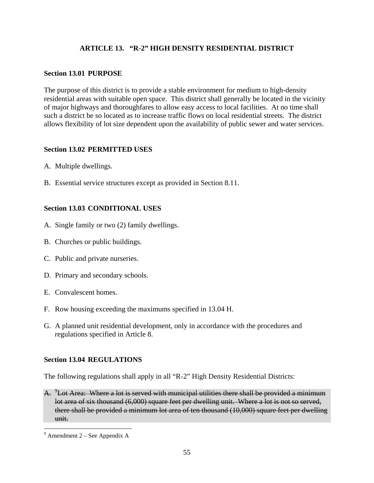# **ARTICLE 13. "R-2" HIGH DENSITY RESIDENTIAL DISTRICT**

## **Section 13.01 PURPOSE**

The purpose of this district is to provide a stable environment for medium to high-density residential areas with suitable open space. This district shall generally be located in the vicinity of major highways and thoroughfares to allow easy access to local facilities. At no time shall such a district be so located as to increase traffic flows on local residential streets. The district allows flexibility of lot size dependent upon the availability of public sewer and water services.

# **Section 13.02 PERMITTED USES**

- A. Multiple dwellings.
- B. Essential service structures except as provided in Section 8.11.

# **Section 13.03 CONDITIONAL USES**

- A. Single family or two (2) family dwellings.
- B. Churches or public buildings.
- C. Public and private nurseries.
- D. Primary and secondary schools.
- E. Convalescent homes.
- F. Row housing exceeding the maximums specified in 13.04 H.
- G. A planned unit residential development, only in accordance with the procedures and regulations specified in Article 8.

### **Section 13.04 REGULATIONS**

The following regulations shall apply in all "R-2" High Density Residential Districts:

A.  $\rm{^{9}Lot}$  Area: Where a lot is served with municipal utilities there shall be provided a minimum lot area of six thousand (6,000) square feet per dwelling unit. Where a lot is not so served, there shall be provided a minimum lot area of ten thousand (10,000) square feet per dwelling unit.

 $\overline{a}$ 

 $9^9$  Amendment 2 – See Appendix A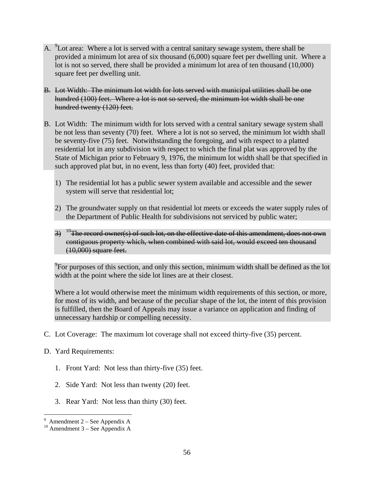- A. <sup>9</sup>Lot area: Where a lot is served with a central sanitary sewage system, there shall be provided a minimum lot area of six thousand (6,000) square feet per dwelling unit. Where a lot is not so served, there shall be provided a minimum lot area of ten thousand (10,000) square feet per dwelling unit.
- B. Lot Width: The minimum lot width for lots served with municipal utilities shall be one hundred (100) feet. Where a lot is not so served, the minimum lot width shall be one hundred twenty (120) feet.
- B. Lot Width: The minimum width for lots served with a central sanitary sewage system shall be not less than seventy (70) feet. Where a lot is not so served, the minimum lot width shall be seventy-five (75) feet. Notwithstanding the foregoing, and with respect to a platted residential lot in any subdivision with respect to which the final plat was approved by the State of Michigan prior to February 9, 1976, the minimum lot width shall be that specified in such approved plat but, in no event, less than forty (40) feet, provided that:
	- 1) The residential lot has a public sewer system available and accessible and the sewer system will serve that residential lot;
	- 2) The groundwater supply on that residential lot meets or exceeds the water supply rules of the Department of Public Health for subdivisions not serviced by public water;
	- $3)$  <sup>10</sup>The record owner(s) of such lot, on the effective date of this amendment, does not own contiguous property which, when combined with said lot, would exceed ten thousand (10,000) square feet.

<sup>9</sup>For purposes of this section, and only this section, minimum width shall be defined as the lot width at the point where the side lot lines are at their closest.

Where a lot would otherwise meet the minimum width requirements of this section, or more, for most of its width, and because of the peculiar shape of the lot, the intent of this provision is fulfilled, then the Board of Appeals may issue a variance on application and finding of unnecessary hardship or compelling necessity.

- C. Lot Coverage: The maximum lot coverage shall not exceed thirty-five (35) percent.
- D. Yard Requirements:
	- 1. Front Yard: Not less than thirty-five (35) feet.
	- 2. Side Yard: Not less than twenty (20) feet.
	- 3. Rear Yard: Not less than thirty (30) feet.

<sup>-&</sup>lt;br>9

 $10$  Amendment 3 – See Appendix A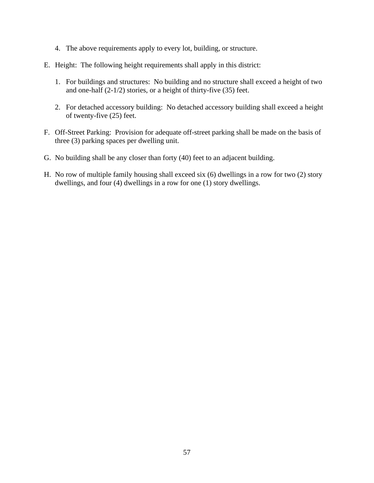- 4. The above requirements apply to every lot, building, or structure.
- E. Height: The following height requirements shall apply in this district:
	- 1. For buildings and structures: No building and no structure shall exceed a height of two and one-half (2-1/2) stories, or a height of thirty-five (35) feet.
	- 2. For detached accessory building: No detached accessory building shall exceed a height of twenty-five (25) feet.
- F. Off-Street Parking: Provision for adequate off-street parking shall be made on the basis of three (3) parking spaces per dwelling unit.
- G. No building shall be any closer than forty (40) feet to an adjacent building.
- H. No row of multiple family housing shall exceed six (6) dwellings in a row for two (2) story dwellings, and four (4) dwellings in a row for one (1) story dwellings.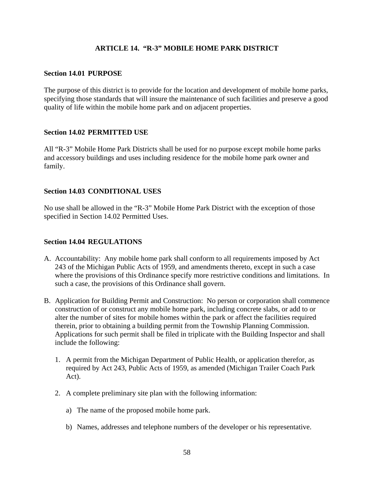## **ARTICLE 14. "R-3" MOBILE HOME PARK DISTRICT**

### **Section 14.01 PURPOSE**

The purpose of this district is to provide for the location and development of mobile home parks, specifying those standards that will insure the maintenance of such facilities and preserve a good quality of life within the mobile home park and on adjacent properties.

### **Section 14.02 PERMITTED USE**

All "R-3" Mobile Home Park Districts shall be used for no purpose except mobile home parks and accessory buildings and uses including residence for the mobile home park owner and family.

### **Section 14.03 CONDITIONAL USES**

No use shall be allowed in the "R-3" Mobile Home Park District with the exception of those specified in Section 14.02 Permitted Uses.

### **Section 14.04 REGULATIONS**

- A. Accountability: Any mobile home park shall conform to all requirements imposed by Act 243 of the Michigan Public Acts of 1959, and amendments thereto, except in such a case where the provisions of this Ordinance specify more restrictive conditions and limitations. In such a case, the provisions of this Ordinance shall govern.
- B. Application for Building Permit and Construction: No person or corporation shall commence construction of or construct any mobile home park, including concrete slabs, or add to or alter the number of sites for mobile homes within the park or affect the facilities required therein, prior to obtaining a building permit from the Township Planning Commission. Applications for such permit shall be filed in triplicate with the Building Inspector and shall include the following:
	- 1. A permit from the Michigan Department of Public Health, or application therefor, as required by Act 243, Public Acts of 1959, as amended (Michigan Trailer Coach Park Act).
	- 2. A complete preliminary site plan with the following information:
		- a) The name of the proposed mobile home park.
		- b) Names, addresses and telephone numbers of the developer or his representative.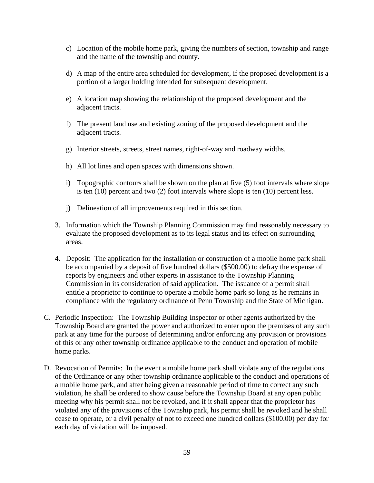- c) Location of the mobile home park, giving the numbers of section, township and range and the name of the township and county.
- d) A map of the entire area scheduled for development, if the proposed development is a portion of a larger holding intended for subsequent development.
- e) A location map showing the relationship of the proposed development and the adjacent tracts.
- f) The present land use and existing zoning of the proposed development and the adjacent tracts.
- g) Interior streets, streets, street names, right-of-way and roadway widths.
- h) All lot lines and open spaces with dimensions shown.
- i) Topographic contours shall be shown on the plan at five (5) foot intervals where slope is ten (10) percent and two (2) foot intervals where slope is ten (10) percent less.
- j) Delineation of all improvements required in this section.
- 3. Information which the Township Planning Commission may find reasonably necessary to evaluate the proposed development as to its legal status and its effect on surrounding areas.
- 4. Deposit: The application for the installation or construction of a mobile home park shall be accompanied by a deposit of five hundred dollars (\$500.00) to defray the expense of reports by engineers and other experts in assistance to the Township Planning Commission in its consideration of said application. The issuance of a permit shall entitle a proprietor to continue to operate a mobile home park so long as he remains in compliance with the regulatory ordinance of Penn Township and the State of Michigan.
- C. Periodic Inspection: The Township Building Inspector or other agents authorized by the Township Board are granted the power and authorized to enter upon the premises of any such park at any time for the purpose of determining and/or enforcing any provision or provisions of this or any other township ordinance applicable to the conduct and operation of mobile home parks.
- D. Revocation of Permits: In the event a mobile home park shall violate any of the regulations of the Ordinance or any other township ordinance applicable to the conduct and operations of a mobile home park, and after being given a reasonable period of time to correct any such violation, he shall be ordered to show cause before the Township Board at any open public meeting why his permit shall not be revoked, and if it shall appear that the proprietor has violated any of the provisions of the Township park, his permit shall be revoked and he shall cease to operate, or a civil penalty of not to exceed one hundred dollars (\$100.00) per day for each day of violation will be imposed.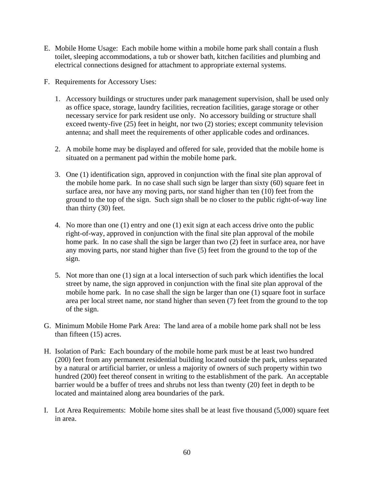- E. Mobile Home Usage: Each mobile home within a mobile home park shall contain a flush toilet, sleeping accommodations, a tub or shower bath, kitchen facilities and plumbing and electrical connections designed for attachment to appropriate external systems.
- F. Requirements for Accessory Uses:
	- 1. Accessory buildings or structures under park management supervision, shall be used only as office space, storage, laundry facilities, recreation facilities, garage storage or other necessary service for park resident use only. No accessory building or structure shall exceed twenty-five (25) feet in height, nor two (2) stories; except community television antenna; and shall meet the requirements of other applicable codes and ordinances.
	- 2. A mobile home may be displayed and offered for sale, provided that the mobile home is situated on a permanent pad within the mobile home park.
	- 3. One (1) identification sign, approved in conjunction with the final site plan approval of the mobile home park. In no case shall such sign be larger than sixty (60) square feet in surface area, nor have any moving parts, nor stand higher than ten (10) feet from the ground to the top of the sign. Such sign shall be no closer to the public right-of-way line than thirty (30) feet.
	- 4. No more than one (1) entry and one (1) exit sign at each access drive onto the public right-of-way, approved in conjunction with the final site plan approval of the mobile home park. In no case shall the sign be larger than two (2) feet in surface area, nor have any moving parts, nor stand higher than five (5) feet from the ground to the top of the sign.
	- 5. Not more than one (1) sign at a local intersection of such park which identifies the local street by name, the sign approved in conjunction with the final site plan approval of the mobile home park. In no case shall the sign be larger than one (1) square foot in surface area per local street name, nor stand higher than seven (7) feet from the ground to the top of the sign.
- G. Minimum Mobile Home Park Area: The land area of a mobile home park shall not be less than fifteen (15) acres.
- H. Isolation of Park: Each boundary of the mobile home park must be at least two hundred (200) feet from any permanent residential building located outside the park, unless separated by a natural or artificial barrier, or unless a majority of owners of such property within two hundred (200) feet thereof consent in writing to the establishment of the park. An acceptable barrier would be a buffer of trees and shrubs not less than twenty (20) feet in depth to be located and maintained along area boundaries of the park.
- I. Lot Area Requirements: Mobile home sites shall be at least five thousand (5,000) square feet in area.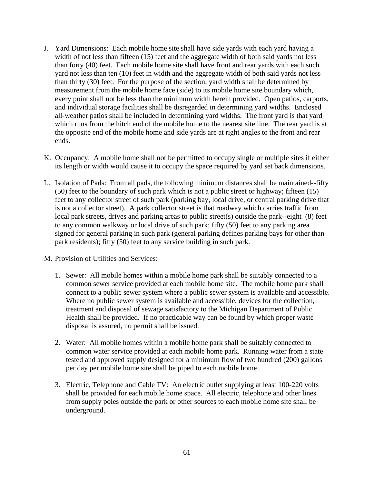- J. Yard Dimensions: Each mobile home site shall have side yards with each yard having a width of not less than fifteen (15) feet and the aggregate width of both said yards not less than forty (40) feet. Each mobile home site shall have front and rear yards with each such yard not less than ten (10) feet in width and the aggregate width of both said yards not less than thirty (30) feet. For the purpose of the section, yard width shall be determined by measurement from the mobile home face (side) to its mobile home site boundary which, every point shall not be less than the minimum width herein provided. Open patios, carports, and individual storage facilities shall be disregarded in determining yard widths. Enclosed all-weather patios shall be included in determining yard widths. The front yard is that yard which runs from the hitch end of the mobile home to the nearest site line. The rear yard is at the opposite end of the mobile home and side yards are at right angles to the front and rear ends.
- K. Occupancy: A mobile home shall not be permitted to occupy single or multiple sites if either its length or width would cause it to occupy the space required by yard set back dimensions.
- L. Isolation of Pads: From all pads, the following minimum distances shall be maintained--fifty (50) feet to the boundary of such park which is not a public street or highway; fifteen (15) feet to any collector street of such park (parking bay, local drive, or central parking drive that is not a collector street). A park collector street is that roadway which carries traffic from local park streets, drives and parking areas to public street(s) outside the park--eight (8) feet to any common walkway or local drive of such park; fifty (50) feet to any parking area signed for general parking in such park (general parking defines parking bays for other than park residents); fifty (50) feet to any service building in such park.
- M. Provision of Utilities and Services:
	- 1. Sewer: All mobile homes within a mobile home park shall be suitably connected to a common sewer service provided at each mobile home site. The mobile home park shall connect to a public sewer system where a public sewer system is available and accessible. Where no public sewer system is available and accessible, devices for the collection, treatment and disposal of sewage satisfactory to the Michigan Department of Public Health shall be provided. If no practicable way can be found by which proper waste disposal is assured, no permit shall be issued.
	- 2. Water: All mobile homes within a mobile home park shall be suitably connected to common water service provided at each mobile home park. Running water from a state tested and approved supply designed for a minimum flow of two hundred (200) gallons per day per mobile home site shall be piped to each mobile home.
	- 3. Electric, Telephone and Cable TV: An electric outlet supplying at least 100-220 volts shall be provided for each mobile home space. All electric, telephone and other lines from supply poles outside the park or other sources to each mobile home site shall be underground.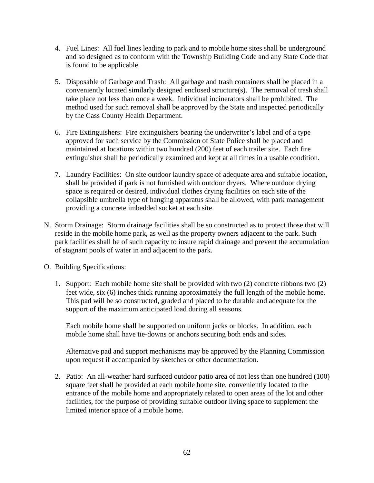- 4. Fuel Lines: All fuel lines leading to park and to mobile home sites shall be underground and so designed as to conform with the Township Building Code and any State Code that is found to be applicable.
- 5. Disposable of Garbage and Trash: All garbage and trash containers shall be placed in a conveniently located similarly designed enclosed structure(s). The removal of trash shall take place not less than once a week. Individual incinerators shall be prohibited. The method used for such removal shall be approved by the State and inspected periodically by the Cass County Health Department.
- 6. Fire Extinguishers: Fire extinguishers bearing the underwriter's label and of a type approved for such service by the Commission of State Police shall be placed and maintained at locations within two hundred (200) feet of each trailer site. Each fire extinguisher shall be periodically examined and kept at all times in a usable condition.
- 7. Laundry Facilities: On site outdoor laundry space of adequate area and suitable location, shall be provided if park is not furnished with outdoor dryers. Where outdoor drying space is required or desired, individual clothes drying facilities on each site of the collapsible umbrella type of hanging apparatus shall be allowed, with park management providing a concrete imbedded socket at each site.
- N. Storm Drainage: Storm drainage facilities shall be so constructed as to protect those that will reside in the mobile home park, as well as the property owners adjacent to the park. Such park facilities shall be of such capacity to insure rapid drainage and prevent the accumulation of stagnant pools of water in and adjacent to the park.
- O. Building Specifications:
	- 1. Support: Each mobile home site shall be provided with two (2) concrete ribbons two (2) feet wide, six (6) inches thick running approximately the full length of the mobile home. This pad will be so constructed, graded and placed to be durable and adequate for the support of the maximum anticipated load during all seasons.

Each mobile home shall be supported on uniform jacks or blocks. In addition, each mobile home shall have tie-downs or anchors securing both ends and sides.

Alternative pad and support mechanisms may be approved by the Planning Commission upon request if accompanied by sketches or other documentation.

2. Patio: An all-weather hard surfaced outdoor patio area of not less than one hundred (100) square feet shall be provided at each mobile home site, conveniently located to the entrance of the mobile home and appropriately related to open areas of the lot and other facilities, for the purpose of providing suitable outdoor living space to supplement the limited interior space of a mobile home.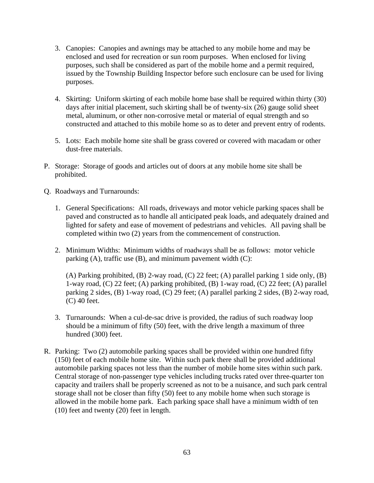- 3. Canopies: Canopies and awnings may be attached to any mobile home and may be enclosed and used for recreation or sun room purposes. When enclosed for living purposes, such shall be considered as part of the mobile home and a permit required, issued by the Township Building Inspector before such enclosure can be used for living purposes.
- 4. Skirting: Uniform skirting of each mobile home base shall be required within thirty (30) days after initial placement, such skirting shall be of twenty-six (26) gauge solid sheet metal, aluminum, or other non-corrosive metal or material of equal strength and so constructed and attached to this mobile home so as to deter and prevent entry of rodents.
- 5. Lots: Each mobile home site shall be grass covered or covered with macadam or other dust-free materials.
- P. Storage: Storage of goods and articles out of doors at any mobile home site shall be prohibited.
- Q. Roadways and Turnarounds:
	- 1. General Specifications: All roads, driveways and motor vehicle parking spaces shall be paved and constructed as to handle all anticipated peak loads, and adequately drained and lighted for safety and ease of movement of pedestrians and vehicles. All paving shall be completed within two (2) years from the commencement of construction.
	- 2. Minimum Widths: Minimum widths of roadways shall be as follows: motor vehicle parking  $(A)$ , traffic use  $(B)$ , and minimum pavement width  $(C)$ :

(A) Parking prohibited, (B) 2-way road, (C) 22 feet; (A) parallel parking 1 side only, (B) 1-way road, (C) 22 feet; (A) parking prohibited, (B) 1-way road, (C) 22 feet; (A) parallel parking 2 sides, (B) 1-way road, (C) 29 feet; (A) parallel parking 2 sides, (B) 2-way road, (C) 40 feet.

- 3. Turnarounds: When a cul-de-sac drive is provided, the radius of such roadway loop should be a minimum of fifty (50) feet, with the drive length a maximum of three hundred (300) feet.
- R. Parking: Two (2) automobile parking spaces shall be provided within one hundred fifty (150) feet of each mobile home site. Within such park there shall be provided additional automobile parking spaces not less than the number of mobile home sites within such park. Central storage of non-passenger type vehicles including trucks rated over three-quarter ton capacity and trailers shall be properly screened as not to be a nuisance, and such park central storage shall not be closer than fifty (50) feet to any mobile home when such storage is allowed in the mobile home park. Each parking space shall have a minimum width of ten (10) feet and twenty (20) feet in length.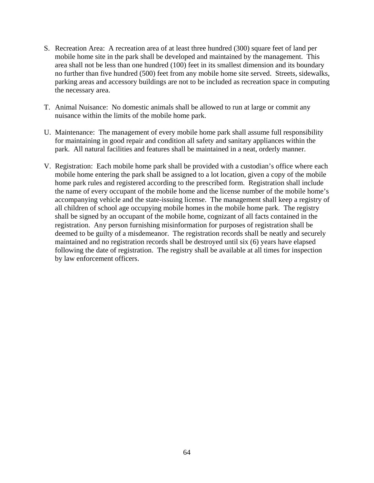- S. Recreation Area: A recreation area of at least three hundred (300) square feet of land per mobile home site in the park shall be developed and maintained by the management. This area shall not be less than one hundred (100) feet in its smallest dimension and its boundary no further than five hundred (500) feet from any mobile home site served. Streets, sidewalks, parking areas and accessory buildings are not to be included as recreation space in computing the necessary area.
- T. Animal Nuisance: No domestic animals shall be allowed to run at large or commit any nuisance within the limits of the mobile home park.
- U. Maintenance: The management of every mobile home park shall assume full responsibility for maintaining in good repair and condition all safety and sanitary appliances within the park. All natural facilities and features shall be maintained in a neat, orderly manner.
- V. Registration: Each mobile home park shall be provided with a custodian's office where each mobile home entering the park shall be assigned to a lot location, given a copy of the mobile home park rules and registered according to the prescribed form. Registration shall include the name of every occupant of the mobile home and the license number of the mobile home's accompanying vehicle and the state-issuing license. The management shall keep a registry of all children of school age occupying mobile homes in the mobile home park. The registry shall be signed by an occupant of the mobile home, cognizant of all facts contained in the registration. Any person furnishing misinformation for purposes of registration shall be deemed to be guilty of a misdemeanor. The registration records shall be neatly and securely maintained and no registration records shall be destroyed until six (6) years have elapsed following the date of registration. The registry shall be available at all times for inspection by law enforcement officers.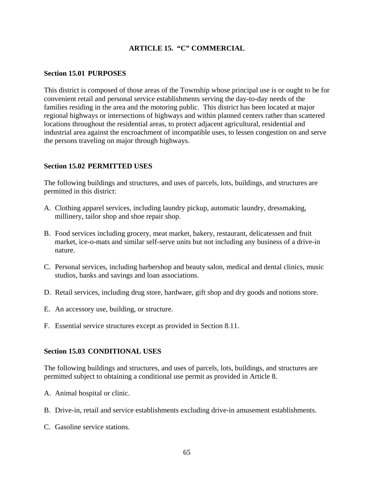# **ARTICLE 15. "C" COMMERCIAL**

### **Section 15.01 PURPOSES**

This district is composed of those areas of the Township whose principal use is or ought to be for convenient retail and personal service establishments serving the day-to-day needs of the families residing in the area and the motoring public. This district has been located at major regional highways or intersections of highways and within planned centers rather than scattered locations throughout the residential areas, to protect adjacent agricultural, residential and industrial area against the encroachment of incompatible uses, to lessen congestion on and serve the persons traveling on major through highways.

## **Section 15.02 PERMITTED USES**

The following buildings and structures, and uses of parcels, lots, buildings, and structures are permitted in this district:

- A. Clothing apparel services, including laundry pickup, automatic laundry, dressmaking, millinery, tailor shop and shoe repair shop.
- B. Food services including grocery, meat market, bakery, restaurant, delicatessen and fruit market, ice-o-mats and similar self-serve units but not including any business of a drive-in nature.
- C. Personal services, including barbershop and beauty salon, medical and dental clinics, music studios, banks and savings and loan associations.
- D. Retail services, including drug store, hardware, gift shop and dry goods and notions store.
- E. An accessory use, building, or structure.
- F. Essential service structures except as provided in Section 8.11.

### **Section 15.03 CONDITIONAL USES**

The following buildings and structures, and uses of parcels, lots, buildings, and structures are permitted subject to obtaining a conditional use permit as provided in Article 8.

- A. Animal hospital or clinic.
- B. Drive-in, retail and service establishments excluding drive-in amusement establishments.
- C. Gasoline service stations.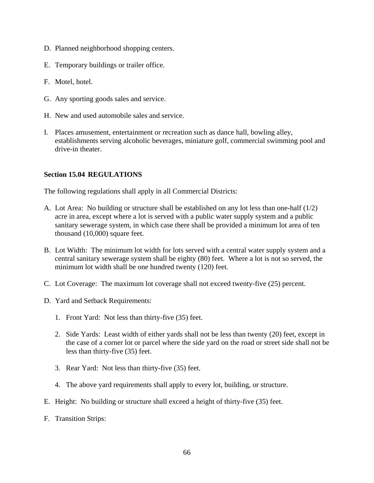- D. Planned neighborhood shopping centers.
- E. Temporary buildings or trailer office.
- F. Motel, hotel.
- G. Any sporting goods sales and service.
- H. New and used automobile sales and service.
- I. Places amusement, entertainment or recreation such as dance hall, bowling alley, establishments serving alcoholic beverages, miniature golf, commercial swimming pool and drive-in theater.

## **Section 15.04 REGULATIONS**

The following regulations shall apply in all Commercial Districts:

- A. Lot Area: No building or structure shall be established on any lot less than one-half (1/2) acre in area, except where a lot is served with a public water supply system and a public sanitary sewerage system, in which case there shall be provided a minimum lot area of ten thousand (10,000) square feet.
- B. Lot Width: The minimum lot width for lots served with a central water supply system and a central sanitary sewerage system shall be eighty (80) feet. Where a lot is not so served, the minimum lot width shall be one hundred twenty (120) feet.
- C. Lot Coverage: The maximum lot coverage shall not exceed twenty-five (25) percent.
- D. Yard and Setback Requirements:
	- 1. Front Yard: Not less than thirty-five (35) feet.
	- 2. Side Yards: Least width of either yards shall not be less than twenty (20) feet, except in the case of a corner lot or parcel where the side yard on the road or street side shall not be less than thirty-five (35) feet.
	- 3. Rear Yard: Not less than thirty-five (35) feet.
	- 4. The above yard requirements shall apply to every lot, building, or structure.
- E. Height: No building or structure shall exceed a height of thirty-five (35) feet.
- F. Transition Strips: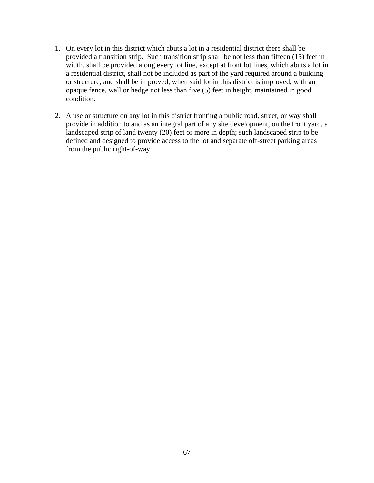- 1. On every lot in this district which abuts a lot in a residential district there shall be provided a transition strip. Such transition strip shall be not less than fifteen (15) feet in width, shall be provided along every lot line, except at front lot lines, which abuts a lot in a residential district, shall not be included as part of the yard required around a building or structure, and shall be improved, when said lot in this district is improved, with an opaque fence, wall or hedge not less than five (5) feet in height, maintained in good condition.
- 2. A use or structure on any lot in this district fronting a public road, street, or way shall provide in addition to and as an integral part of any site development, on the front yard, a landscaped strip of land twenty (20) feet or more in depth; such landscaped strip to be defined and designed to provide access to the lot and separate off-street parking areas from the public right-of-way.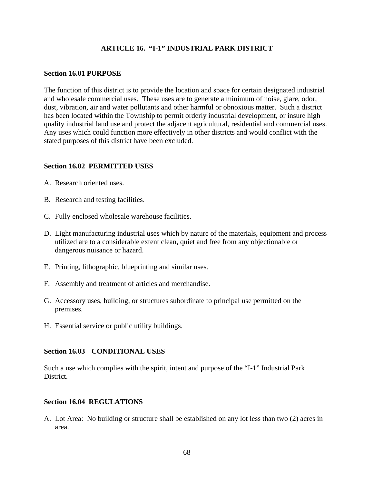## **ARTICLE 16. "I-1" INDUSTRIAL PARK DISTRICT**

### **Section 16.01 PURPOSE**

The function of this district is to provide the location and space for certain designated industrial and wholesale commercial uses. These uses are to generate a minimum of noise, glare, odor, dust, vibration, air and water pollutants and other harmful or obnoxious matter. Such a district has been located within the Township to permit orderly industrial development, or insure high quality industrial land use and protect the adjacent agricultural, residential and commercial uses. Any uses which could function more effectively in other districts and would conflict with the stated purposes of this district have been excluded.

### **Section 16.02 PERMITTED USES**

- A. Research oriented uses.
- B. Research and testing facilities.
- C. Fully enclosed wholesale warehouse facilities.
- D. Light manufacturing industrial uses which by nature of the materials, equipment and process utilized are to a considerable extent clean, quiet and free from any objectionable or dangerous nuisance or hazard.
- E. Printing, lithographic, blueprinting and similar uses.
- F. Assembly and treatment of articles and merchandise.
- G. Accessory uses, building, or structures subordinate to principal use permitted on the premises.
- H. Essential service or public utility buildings.

### **Section 16.03 CONDITIONAL USES**

Such a use which complies with the spirit, intent and purpose of the "I-1" Industrial Park District.

#### **Section 16.04 REGULATIONS**

A. Lot Area: No building or structure shall be established on any lot less than two (2) acres in area.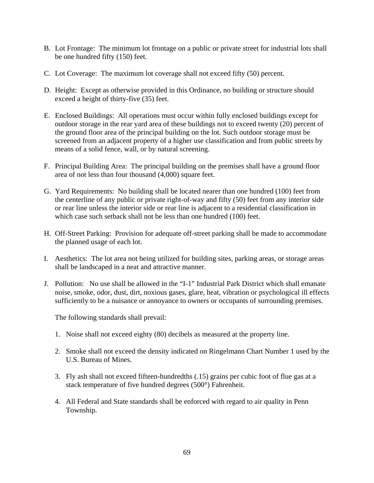- B. Lot Frontage: The minimum lot frontage on a public or private street for industrial lots shall be one hundred fifty (150) feet.
- C. Lot Coverage: The maximum lot coverage shall not exceed fifty (50) percent.
- D. Height: Except as otherwise provided in this Ordinance, no building or structure should exceed a height of thirty-five (35) feet.
- E. Enclosed Buildings: All operations must occur within fully enclosed buildings except for outdoor storage in the rear yard area of these buildings not to exceed twenty (20) percent of the ground floor area of the principal building on the lot. Such outdoor storage must be screened from an adjacent property of a higher use classification and from public streets by means of a solid fence, wall, or by natural screening.
- F. Principal Building Area: The principal building on the premises shall have a ground floor area of not less than four thousand (4,000) square feet.
- G. Yard Requirements: No building shall be located nearer than one hundred (100) feet from the centerline of any public or private right-of-way and fifty (50) feet from any interior side or rear line unless the interior side or rear line is adjacent to a residential classification in which case such setback shall not be less than one hundred (100) feet.
- H. Off-Street Parking: Provision for adequate off-street parking shall be made to accommodate the planned usage of each lot.
- I. Aesthetics: The lot area not being utilized for building sites, parking areas, or storage areas shall be landscaped in a neat and attractive manner.
- J. Pollution: No use shall be allowed in the "I-1" Industrial Park District which shall emanate noise, smoke, odor, dust, dirt, noxious gases, glare, heat, vibration or psychological ill effects sufficiently to be a nuisance or annoyance to owners or occupants of surrounding premises.

The following standards shall prevail:

- 1. Noise shall not exceed eighty (80) decibels as measured at the property line.
- 2. Smoke shall not exceed the density indicated on Ringelmann Chart Number 1 used by the U.S. Bureau of Mines.
- 3. Fly ash shall not exceed fifteen-hundredths (.15) grains per cubic foot of flue gas at a stack temperature of five hundred degrees (500°) Fahrenheit.
- 4. All Federal and State standards shall be enforced with regard to air quality in Penn Township.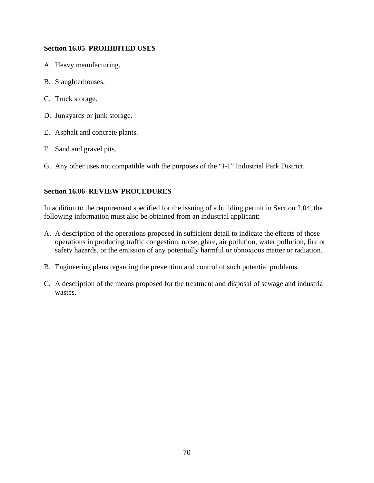## **Section 16.05 PROHIBITED USES**

- A. Heavy manufacturing.
- B. Slaughterhouses.
- C. Truck storage.
- D. Junkyards or junk storage.
- E. Asphalt and concrete plants.
- F. Sand and gravel pits.
- G. Any other uses not compatible with the purposes of the "I-1" Industrial Park District.

## **Section 16.06 REVIEW PROCEDURES**

In addition to the requirement specified for the issuing of a building permit in Section 2.04, the following information must also be obtained from an industrial applicant:

- A. A description of the operations proposed in sufficient detail to indicate the effects of those operations in producing traffic congestion, noise, glare, air pollution, water pollution, fire or safety hazards, or the emission of any potentially harmful or obnoxious matter or radiation.
- B. Engineering plans regarding the prevention and control of such potential problems.
- C. A description of the means proposed for the treatment and disposal of sewage and industrial wastes.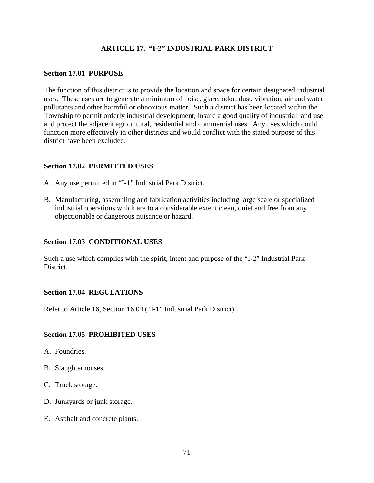## **ARTICLE 17. "I-2" INDUSTRIAL PARK DISTRICT**

### **Section 17.01 PURPOSE**

The function of this district is to provide the location and space for certain designated industrial uses. These uses are to generate a minimum of noise, glare, odor, dust, vibration, air and water pollutants and other harmful or obnoxious matter. Such a district has been located within the Township to permit orderly industrial development, insure a good quality of industrial land use and protect the adjacent agricultural, residential and commercial uses. Any uses which could function more effectively in other districts and would conflict with the stated purpose of this district have been excluded.

### **Section 17.02 PERMITTED USES**

- A. Any use permitted in "I-1" Industrial Park District.
- B. Manufacturing, assembling and fabrication activities including large scale or specialized industrial operations which are to a considerable extent clean, quiet and free from any objectionable or dangerous nuisance or hazard.

## **Section 17.03 CONDITIONAL USES**

Such a use which complies with the spirit, intent and purpose of the "I-2" Industrial Park District.

### **Section 17.04 REGULATIONS**

Refer to Article 16, Section 16.04 ("I-1" Industrial Park District).

### **Section 17.05 PROHIBITED USES**

- A. Foundries.
- B. Slaughterhouses.
- C. Truck storage.
- D. Junkyards or junk storage.
- E. Asphalt and concrete plants.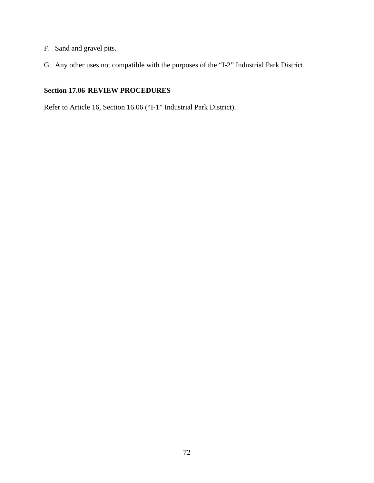- F. Sand and gravel pits.
- G. Any other uses not compatible with the purposes of the "I-2" Industrial Park District.

# **Section 17.06 REVIEW PROCEDURES**

Refer to Article 16, Section 16.06 ("I-1" Industrial Park District).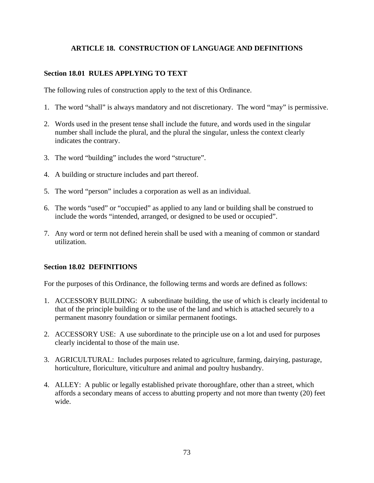# **ARTICLE 18. CONSTRUCTION OF LANGUAGE AND DEFINITIONS**

## **Section 18.01 RULES APPLYING TO TEXT**

The following rules of construction apply to the text of this Ordinance.

- 1. The word "shall" is always mandatory and not discretionary. The word "may" is permissive.
- 2. Words used in the present tense shall include the future, and words used in the singular number shall include the plural, and the plural the singular, unless the context clearly indicates the contrary.
- 3. The word "building" includes the word "structure".
- 4. A building or structure includes and part thereof.
- 5. The word "person" includes a corporation as well as an individual.
- 6. The words "used" or "occupied" as applied to any land or building shall be construed to include the words "intended, arranged, or designed to be used or occupied".
- 7. Any word or term not defined herein shall be used with a meaning of common or standard utilization.

### **Section 18.02 DEFINITIONS**

For the purposes of this Ordinance, the following terms and words are defined as follows:

- 1. ACCESSORY BUILDING: A subordinate building, the use of which is clearly incidental to that of the principle building or to the use of the land and which is attached securely to a permanent masonry foundation or similar permanent footings.
- 2. ACCESSORY USE: A use subordinate to the principle use on a lot and used for purposes clearly incidental to those of the main use.
- 3. AGRICULTURAL: Includes purposes related to agriculture, farming, dairying, pasturage, horticulture, floriculture, viticulture and animal and poultry husbandry.
- 4. ALLEY: A public or legally established private thoroughfare, other than a street, which affords a secondary means of access to abutting property and not more than twenty (20) feet wide.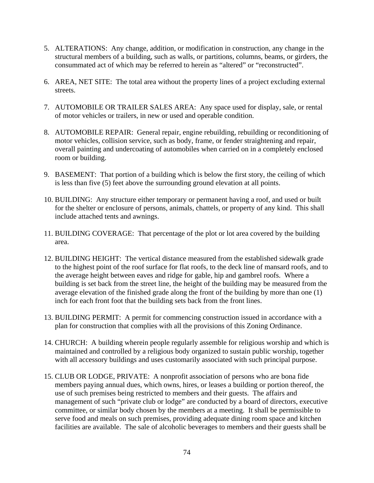- 5. ALTERATIONS: Any change, addition, or modification in construction, any change in the structural members of a building, such as walls, or partitions, columns, beams, or girders, the consummated act of which may be referred to herein as "altered" or "reconstructed".
- 6. AREA, NET SITE: The total area without the property lines of a project excluding external streets.
- 7. AUTOMOBILE OR TRAILER SALES AREA: Any space used for display, sale, or rental of motor vehicles or trailers, in new or used and operable condition.
- 8. AUTOMOBILE REPAIR: General repair, engine rebuilding, rebuilding or reconditioning of motor vehicles, collision service, such as body, frame, or fender straightening and repair, overall painting and undercoating of automobiles when carried on in a completely enclosed room or building.
- 9. BASEMENT: That portion of a building which is below the first story, the ceiling of which is less than five (5) feet above the surrounding ground elevation at all points.
- 10. BUILDING: Any structure either temporary or permanent having a roof, and used or built for the shelter or enclosure of persons, animals, chattels, or property of any kind. This shall include attached tents and awnings.
- 11. BUILDING COVERAGE: That percentage of the plot or lot area covered by the building area.
- 12. BUILDING HEIGHT: The vertical distance measured from the established sidewalk grade to the highest point of the roof surface for flat roofs, to the deck line of mansard roofs, and to the average height between eaves and ridge for gable, hip and gambrel roofs. Where a building is set back from the street line, the height of the building may be measured from the average elevation of the finished grade along the front of the building by more than one (1) inch for each front foot that the building sets back from the front lines.
- 13. BUILDING PERMIT: A permit for commencing construction issued in accordance with a plan for construction that complies with all the provisions of this Zoning Ordinance.
- 14. CHURCH: A building wherein people regularly assemble for religious worship and which is maintained and controlled by a religious body organized to sustain public worship, together with all accessory buildings and uses customarily associated with such principal purpose.
- 15. CLUB OR LODGE, PRIVATE: A nonprofit association of persons who are bona fide members paying annual dues, which owns, hires, or leases a building or portion thereof, the use of such premises being restricted to members and their guests. The affairs and management of such "private club or lodge" are conducted by a board of directors, executive committee, or similar body chosen by the members at a meeting. It shall be permissible to serve food and meals on such premises, providing adequate dining room space and kitchen facilities are available. The sale of alcoholic beverages to members and their guests shall be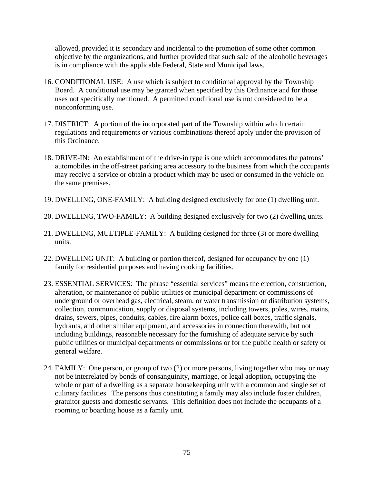allowed, provided it is secondary and incidental to the promotion of some other common objective by the organizations, and further provided that such sale of the alcoholic beverages is in compliance with the applicable Federal, State and Municipal laws.

- 16. CONDITIONAL USE: A use which is subject to conditional approval by the Township Board. A conditional use may be granted when specified by this Ordinance and for those uses not specifically mentioned. A permitted conditional use is not considered to be a nonconforming use.
- 17. DISTRICT: A portion of the incorporated part of the Township within which certain regulations and requirements or various combinations thereof apply under the provision of this Ordinance.
- 18. DRIVE-IN: An establishment of the drive-in type is one which accommodates the patrons' automobiles in the off-street parking area accessory to the business from which the occupants may receive a service or obtain a product which may be used or consumed in the vehicle on the same premises.
- 19. DWELLING, ONE-FAMILY: A building designed exclusively for one (1) dwelling unit.
- 20. DWELLING, TWO-FAMILY: A building designed exclusively for two (2) dwelling units.
- 21. DWELLING, MULTIPLE-FAMILY: A building designed for three (3) or more dwelling units.
- 22. DWELLING UNIT: A building or portion thereof, designed for occupancy by one (1) family for residential purposes and having cooking facilities.
- 23. ESSENTIAL SERVICES: The phrase "essential services" means the erection, construction, alteration, or maintenance of public utilities or municipal department or commissions of underground or overhead gas, electrical, steam, or water transmission or distribution systems, collection, communication, supply or disposal systems, including towers, poles, wires, mains, drains, sewers, pipes, conduits, cables, fire alarm boxes, police call boxes, traffic signals, hydrants, and other similar equipment, and accessories in connection therewith, but not including buildings, reasonable necessary for the furnishing of adequate service by such public utilities or municipal departments or commissions or for the public health or safety or general welfare.
- 24. FAMILY: One person, or group of two (2) or more persons, living together who may or may not be interrelated by bonds of consanguinity, marriage, or legal adoption, occupying the whole or part of a dwelling as a separate housekeeping unit with a common and single set of culinary facilities. The persons thus constituting a family may also include foster children, gratuitor guests and domestic servants. This definition does not include the occupants of a rooming or boarding house as a family unit.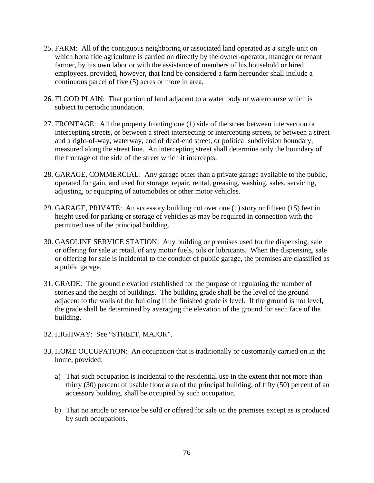- 25. FARM: All of the contiguous neighboring or associated land operated as a single unit on which bona fide agriculture is carried on directly by the owner-operator, manager or tenant farmer, by his own labor or with the assistance of members of his household or hired employees, provided, however, that land be considered a farm hereunder shall include a continuous parcel of five (5) acres or more in area.
- 26. FLOOD PLAIN: That portion of land adjacent to a water body or watercourse which is subject to periodic inundation.
- 27. FRONTAGE: All the property fronting one (1) side of the street between intersection or intercepting streets, or between a street intersecting or intercepting streets, or between a street and a right-of-way, waterway, end of dead-end street, or political subdivision boundary, measured along the street line. An intercepting street shall determine only the boundary of the frontage of the side of the street which it intercepts.
- 28. GARAGE, COMMERCIAL: Any garage other than a private garage available to the public, operated for gain, and used for storage, repair, rental, greasing, washing, sales, servicing, adjusting, or equipping of automobiles or other motor vehicles.
- 29. GARAGE, PRIVATE: An accessory building not over one (1) story or fifteen (15) feet in height used for parking or storage of vehicles as may be required in connection with the permitted use of the principal building.
- 30. GASOLINE SERVICE STATION: Any building or premises used for the dispensing, sale or offering for sale at retail, of any motor fuels, oils or lubricants. When the dispensing, sale or offering for sale is incidental to the conduct of public garage, the premises are classified as a public garage.
- 31. GRADE: The ground elevation established for the purpose of regulating the number of stories and the height of buildings. The building grade shall be the level of the ground adjacent to the walls of the building if the finished grade is level. If the ground is not level, the grade shall be determined by averaging the elevation of the ground for each face of the building.
- 32. HIGHWAY: See "STREET, MAJOR".
- 33. HOME OCCUPATION: An occupation that is traditionally or customarily carried on in the home, provided:
	- a) That such occupation is incidental to the residential use in the extent that not more than thirty (30) percent of usable floor area of the principal building, of fifty (50) percent of an accessory building, shall be occupied by such occupation.
	- b) That no article or service be sold or offered for sale on the premises except as is produced by such occupations.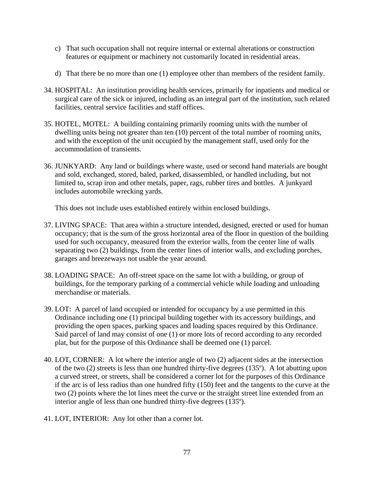- c) That such occupation shall not require internal or external alterations or construction features or equipment or machinery not customarily located in residential areas.
- d) That there be no more than one (1) employee other than members of the resident family.
- 34. HOSPITAL: An institution providing health services, primarily for inpatients and medical or surgical care of the sick or injured, including as an integral part of the institution, such related facilities, central service facilities and staff offices.
- 35. HOTEL, MOTEL: A building containing primarily rooming units with the number of dwelling units being not greater than ten (10) percent of the total number of rooming units, and with the exception of the unit occupied by the management staff, used only for the accommodation of transients.
- 36. JUNKYARD: Any land or buildings where waste, used or second hand materials are bought and sold, exchanged, stored, baled, parked, disassembled, or handled including, but not limited to, scrap iron and other metals, paper, rags, rubber tires and bottles. A junkyard includes automobile wrecking yards.

This does not include uses established entirely within enclosed buildings.

- 37. LIVING SPACE: That area within a structure intended, designed, erected or used for human occupancy; that is the sum of the gross horizontal area of the floor in question of the building used for such occupancy, measured from the exterior walls, from the center line of walls separating two (2) buildings, from the center lines of interior walls, and excluding porches, garages and breezeways not usable the year around.
- 38. LOADING SPACE: An off-street space on the same lot with a building, or group of buildings, for the temporary parking of a commercial vehicle while loading and unloading merchandise or materials.
- 39. LOT: A parcel of land occupied or intended for occupancy by a use permitted in this Ordinance including one (1) principal building together with its accessory buildings, and providing the open spaces, parking spaces and loading spaces required by this Ordinance. Said parcel of land may consist of one (1) or more lots of record according to any recorded plat, but for the purpose of this Ordinance shall be deemed one (1) parcel.
- 40. LOT, CORNER: A lot where the interior angle of two (2) adjacent sides at the intersection of the two (2) streets is less than one hundred thirty-five degrees (135º). A lot abutting upon a curved street, or streets, shall be considered a corner lot for the purposes of this Ordinance if the arc is of less radius than one hundred fifty (150) feet and the tangents to the curve at the two (2) points where the lot lines meet the curve or the straight street line extended from an interior angle of less than one hundred thirty-five degrees (135º).
- 41. LOT, INTERIOR: Any lot other than a corner lot.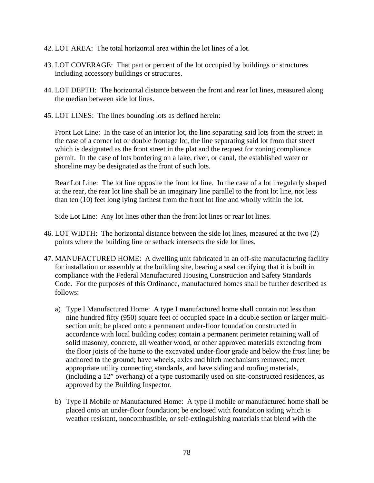- 42. LOT AREA: The total horizontal area within the lot lines of a lot.
- 43. LOT COVERAGE: That part or percent of the lot occupied by buildings or structures including accessory buildings or structures.
- 44. LOT DEPTH: The horizontal distance between the front and rear lot lines, measured along the median between side lot lines.
- 45. LOT LINES: The lines bounding lots as defined herein:

Front Lot Line: In the case of an interior lot, the line separating said lots from the street; in the case of a corner lot or double frontage lot, the line separating said lot from that street which is designated as the front street in the plat and the request for zoning compliance permit. In the case of lots bordering on a lake, river, or canal, the established water or shoreline may be designated as the front of such lots.

Rear Lot Line: The lot line opposite the front lot line. In the case of a lot irregularly shaped at the rear, the rear lot line shall be an imaginary line parallel to the front lot line, not less than ten (10) feet long lying farthest from the front lot line and wholly within the lot.

Side Lot Line: Any lot lines other than the front lot lines or rear lot lines.

- 46. LOT WIDTH: The horizontal distance between the side lot lines, measured at the two (2) points where the building line or setback intersects the side lot lines,
- 47. MANUFACTURED HOME: A dwelling unit fabricated in an off-site manufacturing facility for installation or assembly at the building site, bearing a seal certifying that it is built in compliance with the Federal Manufactured Housing Construction and Safety Standards Code. For the purposes of this Ordinance, manufactured homes shall be further described as follows:
	- a) Type I Manufactured Home: A type I manufactured home shall contain not less than nine hundred fifty (950) square feet of occupied space in a double section or larger multisection unit; be placed onto a permanent under-floor foundation constructed in accordance with local building codes; contain a permanent perimeter retaining wall of solid masonry, concrete, all weather wood, or other approved materials extending from the floor joists of the home to the excavated under-floor grade and below the frost line; be anchored to the ground; have wheels, axles and hitch mechanisms removed; meet appropriate utility connecting standards, and have siding and roofing materials, (including a 12" overhang) of a type customarily used on site-constructed residences, as approved by the Building Inspector.
	- b) Type II Mobile or Manufactured Home: A type II mobile or manufactured home shall be placed onto an under-floor foundation; be enclosed with foundation siding which is weather resistant, noncombustible, or self-extinguishing materials that blend with the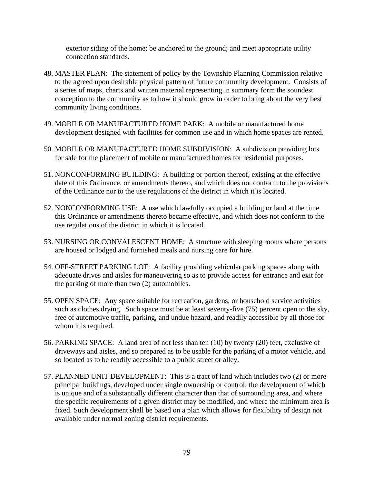exterior siding of the home; be anchored to the ground; and meet appropriate utility connection standards.

- 48. MASTER PLAN: The statement of policy by the Township Planning Commission relative to the agreed upon desirable physical pattern of future community development. Consists of a series of maps, charts and written material representing in summary form the soundest conception to the community as to how it should grow in order to bring about the very best community living conditions.
- 49. MOBILE OR MANUFACTURED HOME PARK: A mobile or manufactured home development designed with facilities for common use and in which home spaces are rented.
- 50. MOBILE OR MANUFACTURED HOME SUBDIVISION: A subdivision providing lots for sale for the placement of mobile or manufactured homes for residential purposes.
- 51. NONCONFORMING BUILDING: A building or portion thereof, existing at the effective date of this Ordinance, or amendments thereto, and which does not conform to the provisions of the Ordinance nor to the use regulations of the district in which it is located.
- 52. NONCONFORMING USE: A use which lawfully occupied a building or land at the time this Ordinance or amendments thereto became effective, and which does not conform to the use regulations of the district in which it is located.
- 53. NURSING OR CONVALESCENT HOME: A structure with sleeping rooms where persons are housed or lodged and furnished meals and nursing care for hire.
- 54. OFF-STREET PARKING LOT: A facility providing vehicular parking spaces along with adequate drives and aisles for maneuvering so as to provide access for entrance and exit for the parking of more than two (2) automobiles.
- 55. OPEN SPACE: Any space suitable for recreation, gardens, or household service activities such as clothes drying. Such space must be at least seventy-five (75) percent open to the sky, free of automotive traffic, parking, and undue hazard, and readily accessible by all those for whom it is required.
- 56. PARKING SPACE: A land area of not less than ten (10) by twenty (20) feet, exclusive of driveways and aisles, and so prepared as to be usable for the parking of a motor vehicle, and so located as to be readily accessible to a public street or alley.
- 57. PLANNED UNIT DEVELOPMENT: This is a tract of land which includes two (2) or more principal buildings, developed under single ownership or control; the development of which is unique and of a substantially different character than that of surrounding area, and where the specific requirements of a given district may be modified, and where the minimum area is fixed. Such development shall be based on a plan which allows for flexibility of design not available under normal zoning district requirements.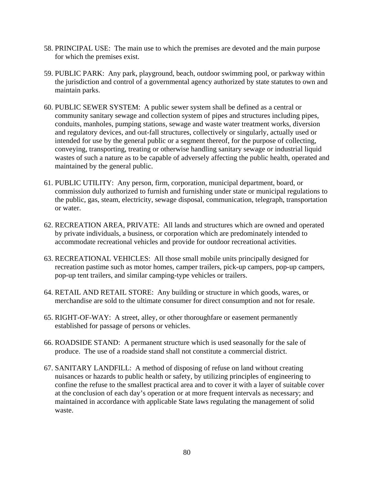- 58. PRINCIPAL USE: The main use to which the premises are devoted and the main purpose for which the premises exist.
- 59. PUBLIC PARK: Any park, playground, beach, outdoor swimming pool, or parkway within the jurisdiction and control of a governmental agency authorized by state statutes to own and maintain parks.
- 60. PUBLIC SEWER SYSTEM: A public sewer system shall be defined as a central or community sanitary sewage and collection system of pipes and structures including pipes, conduits, manholes, pumping stations, sewage and waste water treatment works, diversion and regulatory devices, and out-fall structures, collectively or singularly, actually used or intended for use by the general public or a segment thereof, for the purpose of collecting, conveying, transporting, treating or otherwise handling sanitary sewage or industrial liquid wastes of such a nature as to be capable of adversely affecting the public health, operated and maintained by the general public.
- 61. PUBLIC UTILITY: Any person, firm, corporation, municipal department, board, or commission duly authorized to furnish and furnishing under state or municipal regulations to the public, gas, steam, electricity, sewage disposal, communication, telegraph, transportation or water.
- 62. RECREATION AREA, PRIVATE: All lands and structures which are owned and operated by private individuals, a business, or corporation which are predominately intended to accommodate recreational vehicles and provide for outdoor recreational activities.
- 63. RECREATIONAL VEHICLES: All those small mobile units principally designed for recreation pastime such as motor homes, camper trailers, pick-up campers, pop-up campers, pop-up tent trailers, and similar camping-type vehicles or trailers.
- 64. RETAIL AND RETAIL STORE: Any building or structure in which goods, wares, or merchandise are sold to the ultimate consumer for direct consumption and not for resale.
- 65. RIGHT-OF-WAY: A street, alley, or other thoroughfare or easement permanently established for passage of persons or vehicles.
- 66. ROADSIDE STAND: A permanent structure which is used seasonally for the sale of produce. The use of a roadside stand shall not constitute a commercial district.
- 67. SANITARY LANDFILL: A method of disposing of refuse on land without creating nuisances or hazards to public health or safety, by utilizing principles of engineering to confine the refuse to the smallest practical area and to cover it with a layer of suitable cover at the conclusion of each day's operation or at more frequent intervals as necessary; and maintained in accordance with applicable State laws regulating the management of solid waste.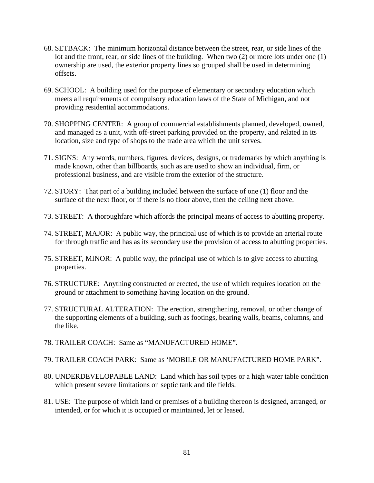- 68. SETBACK: The minimum horizontal distance between the street, rear, or side lines of the lot and the front, rear, or side lines of the building. When two (2) or more lots under one (1) ownership are used, the exterior property lines so grouped shall be used in determining offsets.
- 69. SCHOOL: A building used for the purpose of elementary or secondary education which meets all requirements of compulsory education laws of the State of Michigan, and not providing residential accommodations.
- 70. SHOPPING CENTER: A group of commercial establishments planned, developed, owned, and managed as a unit, with off-street parking provided on the property, and related in its location, size and type of shops to the trade area which the unit serves.
- 71. SIGNS: Any words, numbers, figures, devices, designs, or trademarks by which anything is made known, other than billboards, such as are used to show an individual, firm, or professional business, and are visible from the exterior of the structure.
- 72. STORY: That part of a building included between the surface of one (1) floor and the surface of the next floor, or if there is no floor above, then the ceiling next above.
- 73. STREET: A thoroughfare which affords the principal means of access to abutting property.
- 74. STREET, MAJOR: A public way, the principal use of which is to provide an arterial route for through traffic and has as its secondary use the provision of access to abutting properties.
- 75. STREET, MINOR: A public way, the principal use of which is to give access to abutting properties.
- 76. STRUCTURE: Anything constructed or erected, the use of which requires location on the ground or attachment to something having location on the ground.
- 77. STRUCTURAL ALTERATION: The erection, strengthening, removal, or other change of the supporting elements of a building, such as footings, bearing walls, beams, columns, and the like.
- 78. TRAILER COACH: Same as "MANUFACTURED HOME".
- 79. TRAILER COACH PARK: Same as 'MOBILE OR MANUFACTURED HOME PARK".
- 80. UNDERDEVELOPABLE LAND: Land which has soil types or a high water table condition which present severe limitations on septic tank and tile fields.
- 81. USE: The purpose of which land or premises of a building thereon is designed, arranged, or intended, or for which it is occupied or maintained, let or leased.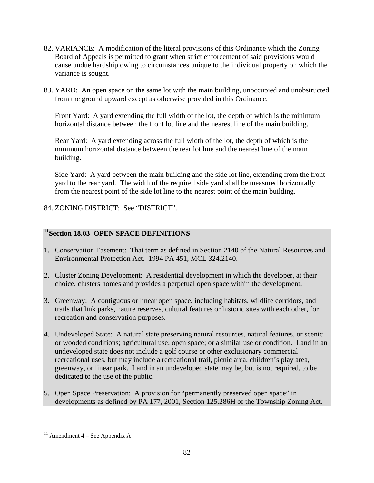- 82. VARIANCE: A modification of the literal provisions of this Ordinance which the Zoning Board of Appeals is permitted to grant when strict enforcement of said provisions would cause undue hardship owing to circumstances unique to the individual property on which the variance is sought.
- 83. YARD: An open space on the same lot with the main building, unoccupied and unobstructed from the ground upward except as otherwise provided in this Ordinance.

Front Yard: A yard extending the full width of the lot, the depth of which is the minimum horizontal distance between the front lot line and the nearest line of the main building.

Rear Yard: A yard extending across the full width of the lot, the depth of which is the minimum horizontal distance between the rear lot line and the nearest line of the main building.

Side Yard: A yard between the main building and the side lot line, extending from the front yard to the rear yard. The width of the required side yard shall be measured horizontally from the nearest point of the side lot line to the nearest point of the main building.

84. ZONING DISTRICT: See "DISTRICT".

# **11Section 18.03 OPEN SPACE DEFINITIONS**

- 1. Conservation Easement: That term as defined in Section 2140 of the Natural Resources and Environmental Protection Act. 1994 PA 451, MCL 324.2140.
- 2. Cluster Zoning Development: A residential development in which the developer, at their choice, clusters homes and provides a perpetual open space within the development.
- 3. Greenway: A contiguous or linear open space, including habitats, wildlife corridors, and trails that link parks, nature reserves, cultural features or historic sites with each other, for recreation and conservation purposes.
- 4. Undeveloped State: A natural state preserving natural resources, natural features, or scenic or wooded conditions; agricultural use; open space; or a similar use or condition. Land in an undeveloped state does not include a golf course or other exclusionary commercial recreational uses, but may include a recreational trail, picnic area, children's play area, greenway, or linear park. Land in an undeveloped state may be, but is not required, to be dedicated to the use of the public.
- 5. Open Space Preservation: A provision for "permanently preserved open space" in developments as defined by PA 177, 2001, Section 125.286H of the Township Zoning Act.

 $\overline{a}$  $11$  Amendment 4 – See Appendix A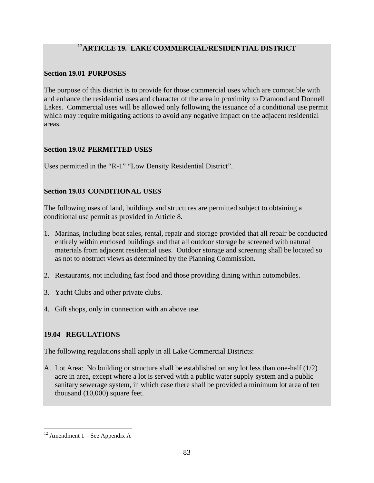# **12ARTICLE 19. LAKE COMMERCIAL/RESIDENTIAL DISTRICT**

# **Section 19.01 PURPOSES**

The purpose of this district is to provide for those commercial uses which are compatible with and enhance the residential uses and character of the area in proximity to Diamond and Donnell Lakes. Commercial uses will be allowed only following the issuance of a conditional use permit which may require mitigating actions to avoid any negative impact on the adjacent residential areas.

# **Section 19.02 PERMITTED USES**

Uses permitted in the "R-1" "Low Density Residential District".

# **Section 19.03 CONDITIONAL USES**

The following uses of land, buildings and structures are permitted subject to obtaining a conditional use permit as provided in Article 8.

- 1. Marinas, including boat sales, rental, repair and storage provided that all repair be conducted entirely within enclosed buildings and that all outdoor storage be screened with natural materials from adjacent residential uses. Outdoor storage and screening shall be located so as not to obstruct views as determined by the Planning Commission.
- 2. Restaurants, not including fast food and those providing dining within automobiles.
- 3. Yacht Clubs and other private clubs.
- 4. Gift shops, only in connection with an above use.

# **19.04 REGULATIONS**

The following regulations shall apply in all Lake Commercial Districts:

A. Lot Area: No building or structure shall be established on any lot less than one-half (1/2) acre in area, except where a lot is served with a public water supply system and a public sanitary sewerage system, in which case there shall be provided a minimum lot area of ten thousand (10,000) square feet.

 $\overline{a}$  $12$  Amendment 1 – See Appendix A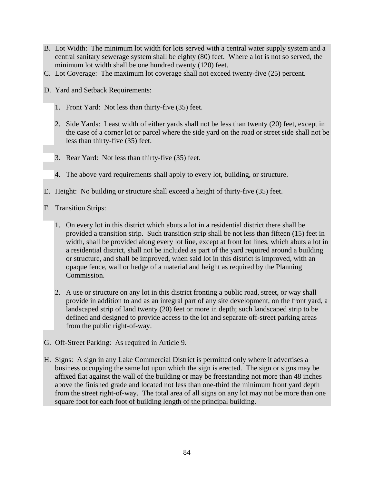- B. Lot Width: The minimum lot width for lots served with a central water supply system and a central sanitary sewerage system shall be eighty (80) feet. Where a lot is not so served, the minimum lot width shall be one hundred twenty (120) feet.
- C. Lot Coverage: The maximum lot coverage shall not exceed twenty-five (25) percent.
- D. Yard and Setback Requirements:
	- 1. Front Yard: Not less than thirty-five (35) feet.
	- 2. Side Yards: Least width of either yards shall not be less than twenty (20) feet, except in the case of a corner lot or parcel where the side yard on the road or street side shall not be less than thirty-five (35) feet.
	- 3. Rear Yard: Not less than thirty-five (35) feet.
	- 4. The above yard requirements shall apply to every lot, building, or structure.
- E. Height: No building or structure shall exceed a height of thirty-five (35) feet.
- F. Transition Strips:
	- 1. On every lot in this district which abuts a lot in a residential district there shall be provided a transition strip. Such transition strip shall be not less than fifteen (15) feet in width, shall be provided along every lot line, except at front lot lines, which abuts a lot in a residential district, shall not be included as part of the yard required around a building or structure, and shall be improved, when said lot in this district is improved, with an opaque fence, wall or hedge of a material and height as required by the Planning Commission.
	- 2. A use or structure on any lot in this district fronting a public road, street, or way shall provide in addition to and as an integral part of any site development, on the front yard, a landscaped strip of land twenty (20) feet or more in depth; such landscaped strip to be defined and designed to provide access to the lot and separate off-street parking areas from the public right-of-way.
- G. Off-Street Parking: As required in Article 9.
- H. Signs: A sign in any Lake Commercial District is permitted only where it advertises a business occupying the same lot upon which the sign is erected. The sign or signs may be affixed flat against the wall of the building or may be freestanding not more than 48 inches above the finished grade and located not less than one-third the minimum front yard depth from the street right-of-way. The total area of all signs on any lot may not be more than one square foot for each foot of building length of the principal building.